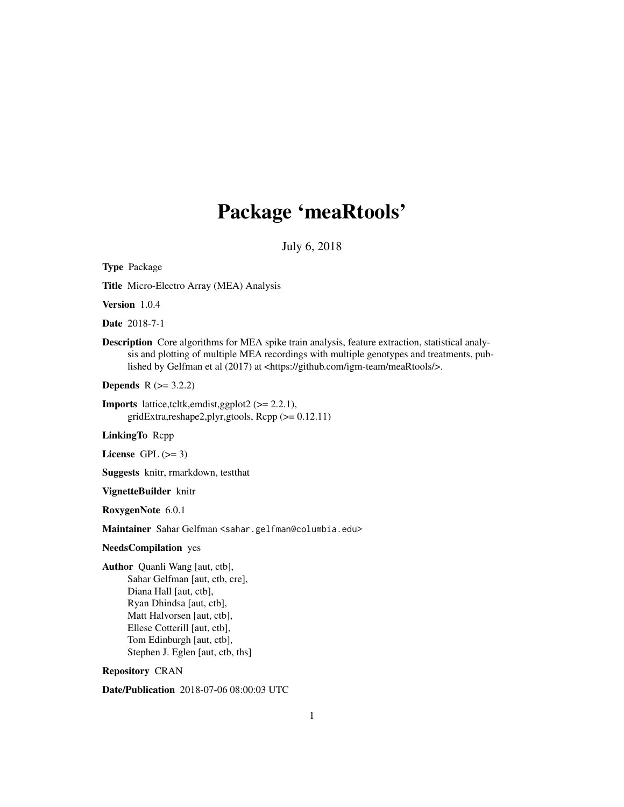# Package 'meaRtools'

July 6, 2018

Type Package Title Micro-Electro Array (MEA) Analysis Version 1.0.4 Date 2018-7-1 Description Core algorithms for MEA spike train analysis, feature extraction, statistical analysis and plotting of multiple MEA recordings with multiple genotypes and treatments, published by Gelfman et al (2017) at <https://github.com/igm-team/meaRtools/>. **Depends**  $R$  ( $>= 3.2.2$ ) **Imports** lattice,tcltk,emdist,ggplot2  $(>= 2.2.1)$ , gridExtra,reshape2,plyr,gtools, Rcpp (>= 0.12.11) LinkingTo Rcpp License GPL  $(>= 3)$ Suggests knitr, rmarkdown, testthat VignetteBuilder knitr RoxygenNote 6.0.1 Maintainer Sahar Gelfman <sahar.gelfman@columbia.edu> NeedsCompilation yes Author Quanli Wang [aut, ctb], Sahar Gelfman [aut, ctb, cre], Diana Hall [aut, ctb], Ryan Dhindsa [aut, ctb], Matt Halvorsen [aut, ctb], Ellese Cotterill [aut, ctb], Tom Edinburgh [aut, ctb], Stephen J. Eglen [aut, ctb, ths] Repository CRAN

Date/Publication 2018-07-06 08:00:03 UTC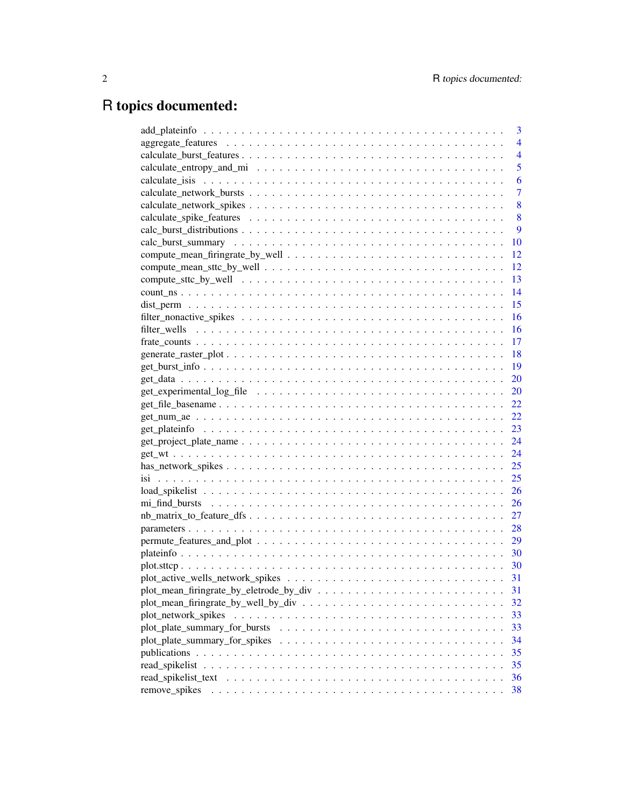# R topics documented:

|                     | 3              |
|---------------------|----------------|
|                     | 4              |
|                     | $\overline{4}$ |
|                     | 5              |
|                     | 6              |
|                     | 7              |
|                     | 8              |
|                     | 8              |
|                     | 9              |
|                     | 10             |
|                     | 12             |
|                     | 12             |
|                     | 13             |
|                     | 14             |
|                     | 15             |
|                     | 16             |
|                     | 16             |
|                     | 17             |
|                     | 18             |
|                     | 19             |
|                     | 20             |
|                     | 20             |
|                     | 22             |
|                     | 22             |
|                     | 23             |
|                     | 24             |
|                     | 24             |
|                     | 25             |
|                     | 25             |
|                     | 26             |
|                     | 26             |
|                     | 27             |
|                     | 28             |
|                     | 29             |
|                     |                |
|                     | - 30           |
|                     | 31             |
|                     | 31             |
|                     | 32             |
| plot_network_spikes | 33             |
|                     | 33             |
|                     | 34             |
|                     | 35             |
| read_spikelist      | 35             |
| read spikelist text | 36             |
| remove_spikes       | 38             |
|                     |                |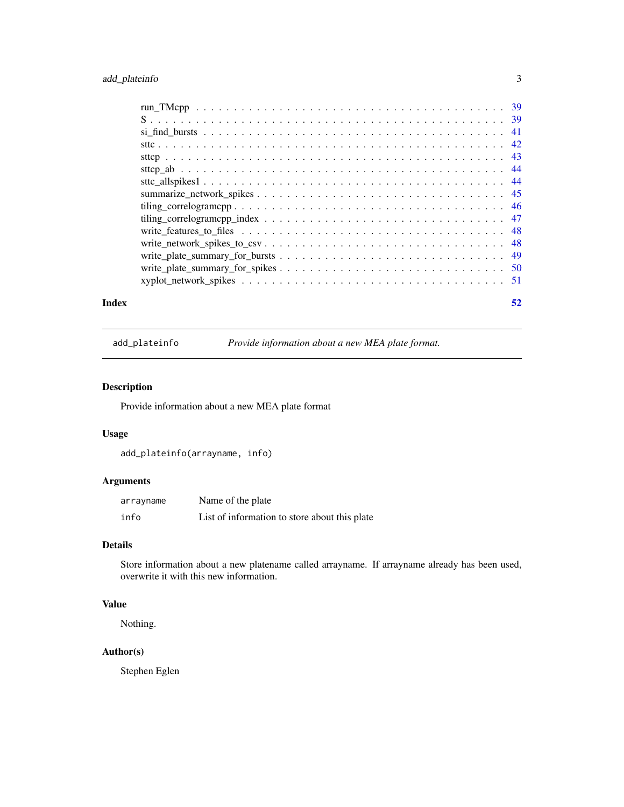### <span id="page-2-0"></span>add\_plateinfo 3

| Index | 52 |
|-------|----|

add\_plateinfo *Provide information about a new MEA plate format.*

### Description

Provide information about a new MEA plate format

### Usage

```
add_plateinfo(arrayname, info)
```
### Arguments

| arrayname | Name of the plate                             |
|-----------|-----------------------------------------------|
| info      | List of information to store about this plate |

### Details

Store information about a new platename called arrayname. If arrayname already has been used, overwrite it with this new information.

### Value

Nothing.

## Author(s)

Stephen Eglen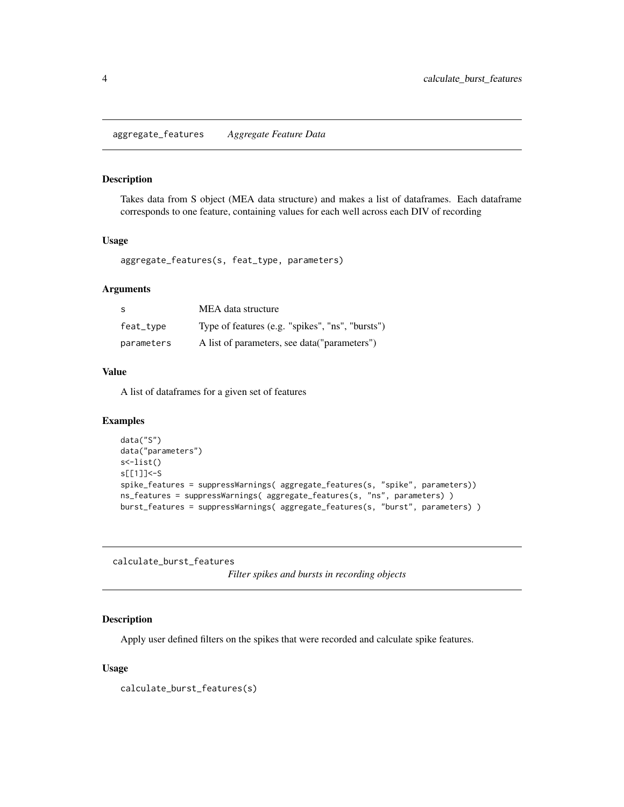<span id="page-3-1"></span><span id="page-3-0"></span>aggregate\_features *Aggregate Feature Data*

### Description

Takes data from S object (MEA data structure) and makes a list of dataframes. Each dataframe corresponds to one feature, containing values for each well across each DIV of recording

### Usage

```
aggregate_features(s, feat_type, parameters)
```
#### Arguments

| -S         | MEA data structure                               |
|------------|--------------------------------------------------|
| feat_type  | Type of features (e.g. "spikes", "ns", "bursts") |
| parameters | A list of parameters, see data("parameters")     |

### Value

A list of dataframes for a given set of features

### Examples

```
data("S")
data("parameters")
s<-list()
s[[1]]<-S
spike_features = suppressWarnings( aggregate_features(s, "spike", parameters))
ns_features = suppressWarnings( aggregate_features(s, "ns", parameters) )
burst_features = suppressWarnings( aggregate_features(s, "burst", parameters) )
```
calculate\_burst\_features

*Filter spikes and bursts in recording objects*

### Description

Apply user defined filters on the spikes that were recorded and calculate spike features.

#### Usage

calculate\_burst\_features(s)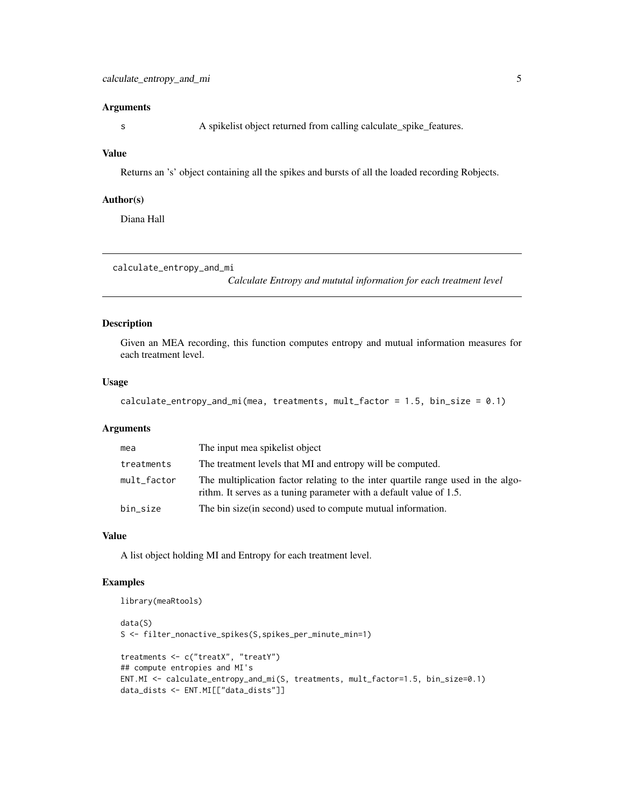#### <span id="page-4-0"></span>**Arguments**

s A spikelist object returned from calling calculate\_spike\_features.

#### Value

Returns an 's' object containing all the spikes and bursts of all the loaded recording Robjects.

#### Author(s)

Diana Hall

```
calculate_entropy_and_mi
```
*Calculate Entropy and mututal information for each treatment level*

#### Description

Given an MEA recording, this function computes entropy and mutual information measures for each treatment level.

#### Usage

```
calculate_entropy_and_mi(mea, treatments, mult_factor = 1.5, bin_size = 0.1)
```
#### Arguments

| mea         | The input mea spikelist object                                                                                                                          |
|-------------|---------------------------------------------------------------------------------------------------------------------------------------------------------|
| treatments  | The treatment levels that MI and entropy will be computed.                                                                                              |
| mult_factor | The multiplication factor relating to the inter quartile range used in the algo-<br>rithm. It serves as a tuning parameter with a default value of 1.5. |
| bin size    | The bin size (in second) used to compute mutual information.                                                                                            |

### Value

A list object holding MI and Entropy for each treatment level.

#### Examples

```
library(meaRtools)
data(S)
S <- filter_nonactive_spikes(S,spikes_per_minute_min=1)
treatments <- c("treatX", "treatY")
## compute entropies and MI's
ENT.MI <- calculate_entropy_and_mi(S, treatments, mult_factor=1.5, bin_size=0.1)
data_dists <- ENT.MI[["data_dists"]]
```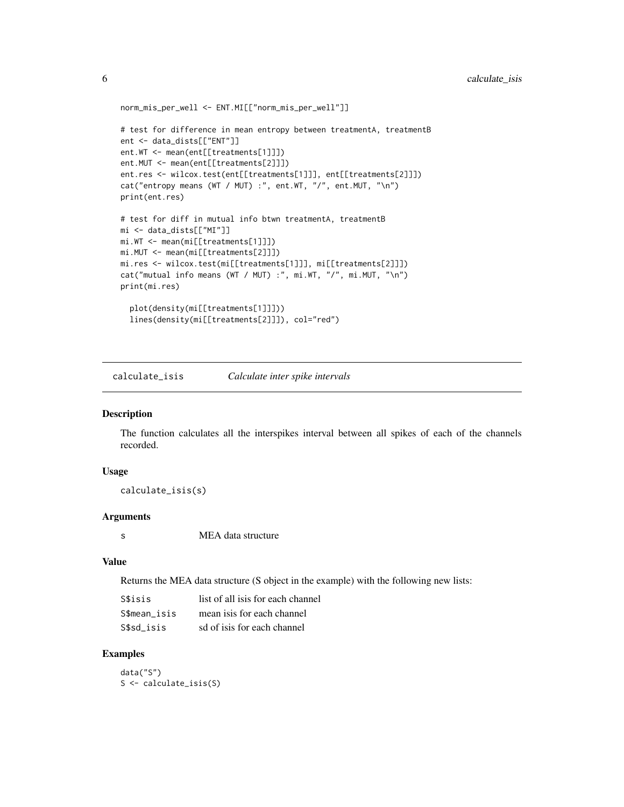```
norm_mis_per_well <- ENT.MI[["norm_mis_per_well"]]
# test for difference in mean entropy between treatmentA, treatmentB
ent <- data_dists[["ENT"]]
ent.WT <- mean(ent[[treatments[1]]])
ent.MUT <- mean(ent[[treatments[2]]])
ent.res <- wilcox.test(ent[[treatments[1]]], ent[[treatments[2]]])
cat("entropy means (WT / MUT) :", ent.WT, "/", ent.MUT, "\n")
print(ent.res)
# test for diff in mutual info btwn treatmentA, treatmentB
mi <- data_dists[["MI"]]
mi.WT <- mean(mi[[treatments[1]]])
mi.MUT <- mean(mi[[treatments[2]]])
mi.res <- wilcox.test(mi[[treatments[1]]], mi[[treatments[2]]])
cat("mutual info means (WT / MUT) :", mi.WT, "/", mi.MUT, "\n")
print(mi.res)
  plot(density(mi[[treatments[1]]]))
  lines(density(mi[[treatments[2]]]), col="red")
```
calculate\_isis *Calculate inter spike intervals*

#### Description

The function calculates all the interspikes interval between all spikes of each of the channels recorded.

### Usage

calculate\_isis(s)

#### **Arguments**

s MEA data structure

#### Value

Returns the MEA data structure (S object in the example) with the following new lists:

| S\$isis      | list of all is is for each channel |
|--------------|------------------------------------|
| S\$mean isis | mean is s for each channel         |
| S\$sd isis   | sd of is is for each channel       |

#### Examples

data("S") S <- calculate\_isis(S)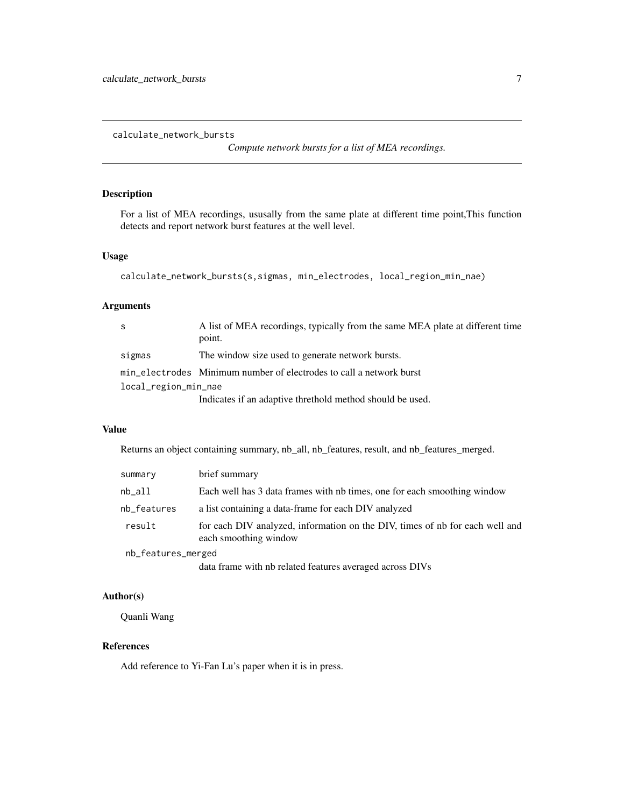<span id="page-6-1"></span><span id="page-6-0"></span>calculate\_network\_bursts

*Compute network bursts for a list of MEA recordings.*

### Description

For a list of MEA recordings, ususally from the same plate at different time point,This function detects and report network burst features at the well level.

#### Usage

```
calculate_network_bursts(s,sigmas, min_electrodes, local_region_min_nae)
```
#### Arguments

| -S                   | A list of MEA recordings, typically from the same MEA plate at different time |  |
|----------------------|-------------------------------------------------------------------------------|--|
|                      | point.                                                                        |  |
| sigmas               | The window size used to generate network bursts.                              |  |
|                      | min_electrodes Minimum number of electrodes to call a network burst           |  |
| local_region_min_nae |                                                                               |  |
|                      | Indicates if an adaptive threthold method should be used.                     |  |

### Value

Returns an object containing summary, nb\_all, nb\_features, result, and nb\_features\_merged.

| summary            | brief summary                                                                                         |
|--------------------|-------------------------------------------------------------------------------------------------------|
| nb all             | Each well has 3 data frames with nb times, one for each smoothing window                              |
| nb_features        | a list containing a data-frame for each DIV analyzed                                                  |
| result             | for each DIV analyzed, information on the DIV, times of nb for each well and<br>each smoothing window |
| nb_features_merged |                                                                                                       |
|                    |                                                                                                       |

data frame with nb related features averaged across DIVs

### Author(s)

Quanli Wang

#### References

Add reference to Yi-Fan Lu's paper when it is in press.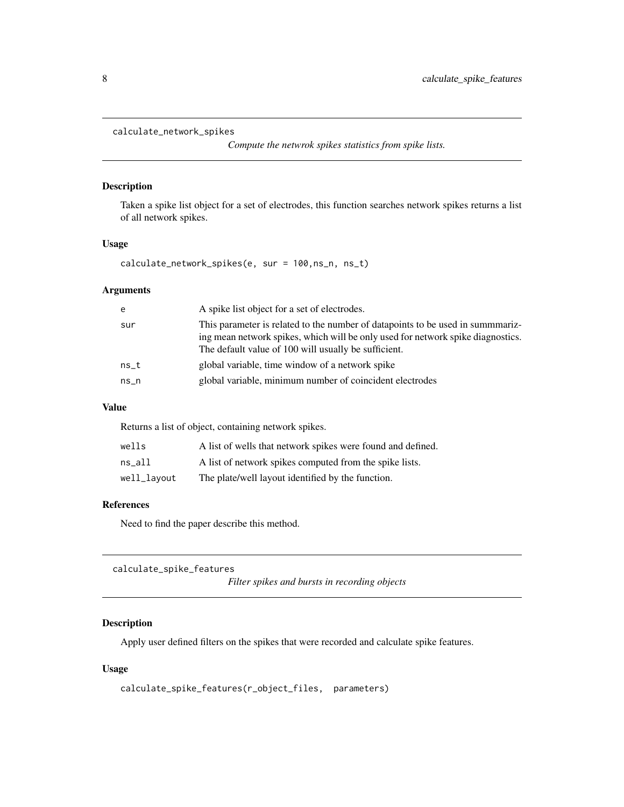```
calculate_network_spikes
```
*Compute the netwrok spikes statistics from spike lists.*

### Description

Taken a spike list object for a set of electrodes, this function searches network spikes returns a list of all network spikes.

#### Usage

calculate\_network\_spikes(e, sur = 100,ns\_n, ns\_t)

#### Arguments

| e      | A spike list object for a set of electrodes.                                                                                                                                                                              |
|--------|---------------------------------------------------------------------------------------------------------------------------------------------------------------------------------------------------------------------------|
| sur    | This parameter is related to the number of datapoints to be used in summmariz-<br>ing mean network spikes, which will be only used for network spike diagnostics.<br>The default value of 100 will usually be sufficient. |
| $ns_t$ | global variable, time window of a network spike                                                                                                                                                                           |
| $ns_n$ | global variable, minimum number of coincident electrodes                                                                                                                                                                  |

### Value

Returns a list of object, containing network spikes.

| wells       | A list of wells that network spikes were found and defined. |
|-------------|-------------------------------------------------------------|
| $ns\_all$   | A list of network spikes computed from the spike lists.     |
| well_layout | The plate/well layout identified by the function.           |

### References

Need to find the paper describe this method.

calculate\_spike\_features

*Filter spikes and bursts in recording objects*

### Description

Apply user defined filters on the spikes that were recorded and calculate spike features.

#### Usage

```
calculate_spike_features(r_object_files, parameters)
```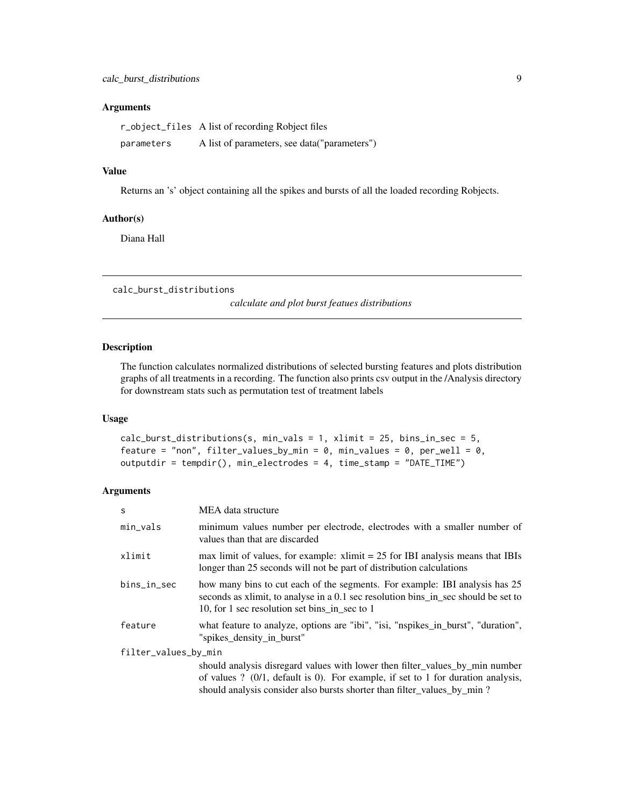### <span id="page-8-0"></span>Arguments

|            | r_object_files A list of recording Robject files |
|------------|--------------------------------------------------|
| parameters | A list of parameters, see data("parameters")     |

### Value

Returns an 's' object containing all the spikes and bursts of all the loaded recording Robjects.

### Author(s)

Diana Hall

calc\_burst\_distributions

*calculate and plot burst featues distributions*

### Description

The function calculates normalized distributions of selected bursting features and plots distribution graphs of all treatments in a recording. The function also prints csv output in the /Analysis directory for downstream stats such as permutation test of treatment labels

### Usage

```
calc_burst_distributions(s, min_vals = 1, xlimit = 25, bins_in_sec = 5,
feature = "non", filter_values_by_min = 0, min_values = 0, per_well = 0,
outputdir = tempdir(), min_electrodes = 4, time_stamp = "DATE_TIME")
```
#### Arguments

| <sub>S</sub>         | MEA data structure                                                                                                                                                                                                  |  |
|----------------------|---------------------------------------------------------------------------------------------------------------------------------------------------------------------------------------------------------------------|--|
| min_vals             | minimum values number per electrode, electrodes with a smaller number of<br>values than that are discarded                                                                                                          |  |
| xlimit               | max limit of values, for example: $x\text{ limit} = 25$ for IBI analysis means that IBIs<br>longer than 25 seconds will not be part of distribution calculations                                                    |  |
| bins_in_sec          | how many bins to cut each of the segments. For example: IBI analysis has 25<br>seconds as x limit, to analyse in a 0.1 sec resolution bins in sec should be set to<br>10, for 1 sec resolution set bins in sec to 1 |  |
| feature              | what feature to analyze, options are "ibi", "isi, "nspikes_in_burst", "duration",<br>"spikes_density_in_burst"                                                                                                      |  |
| filter_values_by_min |                                                                                                                                                                                                                     |  |
|                      | should analysis disregard values with lower then filter_values_by_min number                                                                                                                                        |  |
|                      | of values ? $(0/1,$ default is 0). For example, if set to 1 for duration analysis,                                                                                                                                  |  |
|                      | should analysis consider also bursts shorter than filter_values_by_min ?                                                                                                                                            |  |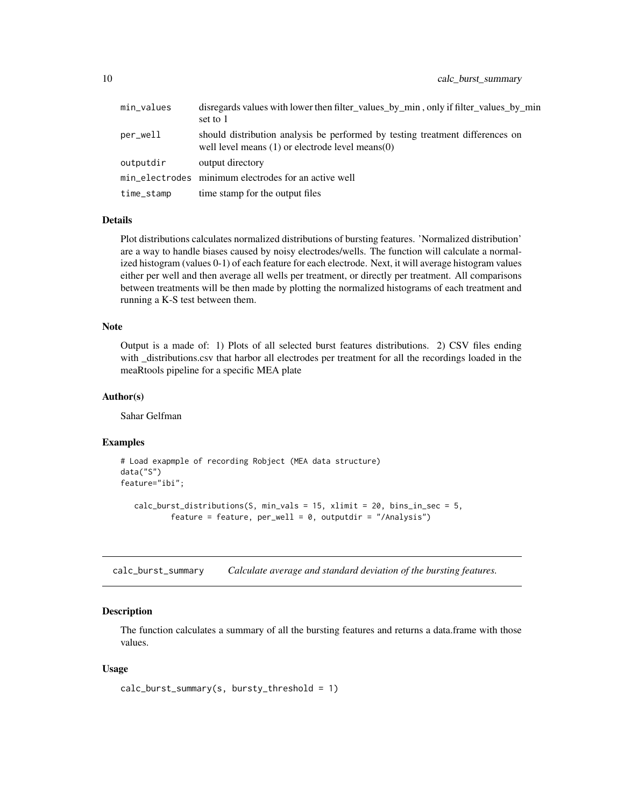<span id="page-9-0"></span>

| min_values | disregards values with lower then filter_values_by_min, only if filter_values_by_min<br>set to 1                                       |
|------------|----------------------------------------------------------------------------------------------------------------------------------------|
| per_well   | should distribution analysis be performed by testing treatment differences on<br>well level means $(1)$ or electrode level means $(0)$ |
| outputdir  | output directory                                                                                                                       |
|            | min_electrodes minimum electrodes for an active well                                                                                   |
| time_stamp | time stamp for the output files                                                                                                        |

### Details

Plot distributions calculates normalized distributions of bursting features. 'Normalized distribution' are a way to handle biases caused by noisy electrodes/wells. The function will calculate a normalized histogram (values 0-1) of each feature for each electrode. Next, it will average histogram values either per well and then average all wells per treatment, or directly per treatment. All comparisons between treatments will be then made by plotting the normalized histograms of each treatment and running a K-S test between them.

#### Note

Output is a made of: 1) Plots of all selected burst features distributions. 2) CSV files ending with \_distributions.csv that harbor all electrodes per treatment for all the recordings loaded in the meaRtools pipeline for a specific MEA plate

### Author(s)

Sahar Gelfman

#### Examples

```
# Load exapmple of recording Robject (MEA data structure)
data("S")
feature="ibi";
   calc_burst_distributions(S, min_vals = 15, xlimit = 20, bins_in_sec = 5,
           feature = feature, per\_well = 0, outputdir = "/Analysis")
```
calc\_burst\_summary *Calculate average and standard deviation of the bursting features.*

### Description

The function calculates a summary of all the bursting features and returns a data.frame with those values.

#### Usage

```
calc_burst_summary(s, bursty_threshold = 1)
```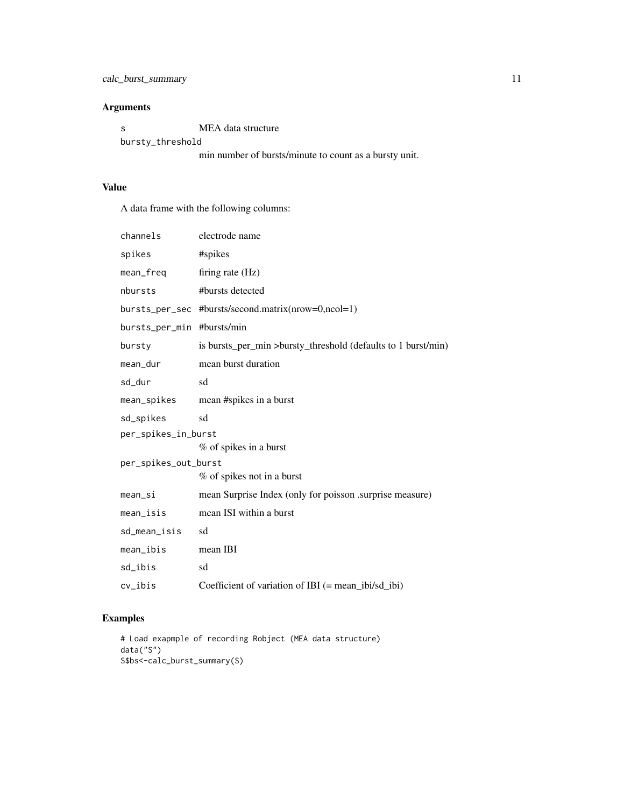### Arguments

| - S              | MEA data structure                                     |
|------------------|--------------------------------------------------------|
| bursty_threshold |                                                        |
|                  | min number of bursts/minute to count as a bursty unit. |

Value

A data frame with the following columns:

|                      | channels            | electrode name                                                |
|----------------------|---------------------|---------------------------------------------------------------|
|                      | spikes              | #spikes                                                       |
|                      | mean_freq           | firing rate (Hz)                                              |
|                      | nbursts             | #bursts detected                                              |
|                      | bursts_per_sec      | #bursts/second.matrix(nrow=0,ncol=1)                          |
|                      | bursts_per_min      | #bursts/min                                                   |
|                      | bursty              | is bursts_per_min >bursty_threshold (defaults to 1 burst/min) |
|                      | mean_dur            | mean burst duration                                           |
|                      | sd_dur              | sd                                                            |
|                      | mean_spikes         | mean #spikes in a burst                                       |
|                      | sd_spikes           | sd                                                            |
|                      | per_spikes_in_burst |                                                               |
|                      |                     | % of spikes in a burst                                        |
| per_spikes_out_burst |                     |                                                               |
|                      |                     | % of spikes not in a burst                                    |
|                      | mean_si             | mean Surprise Index (only for poisson .surprise measure)      |
|                      | $mean\_isis$        | mean ISI within a burst                                       |
|                      | sd_mean_isis        | sd                                                            |
|                      | mean_ibis           | mean IBI                                                      |
|                      | sd_ibis             | sd                                                            |
|                      | cv_ibis             | Coefficient of variation of IBI $(=$ mean_ibi/sd_ibi)         |

### Examples

```
# Load exapmple of recording Robject (MEA data structure)
data("S")
S$bs<-calc_burst_summary(S)
```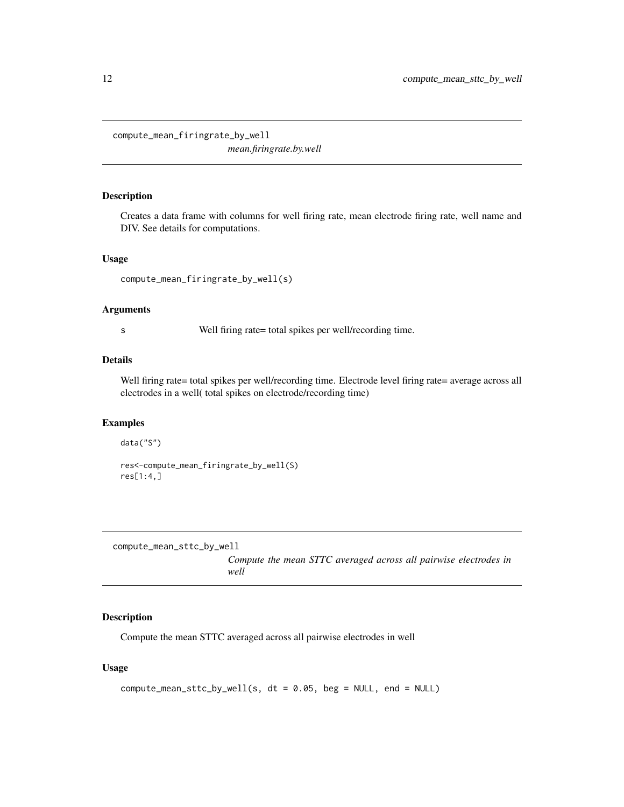<span id="page-11-0"></span>compute\_mean\_firingrate\_by\_well

*mean.firingrate.by.well*

### Description

Creates a data frame with columns for well firing rate, mean electrode firing rate, well name and DIV. See details for computations.

### Usage

```
compute_mean_firingrate_by_well(s)
```
#### Arguments

s Well firing rate= total spikes per well/recording time.

#### Details

Well firing rate= total spikes per well/recording time. Electrode level firing rate= average across all electrodes in a well( total spikes on electrode/recording time)

### Examples

```
data("S")
```

```
res<-compute_mean_firingrate_by_well(S)
res[1:4,]
```
compute\_mean\_sttc\_by\_well

*Compute the mean STTC averaged across all pairwise electrodes in well*

### Description

Compute the mean STTC averaged across all pairwise electrodes in well

### Usage

```
compute_mean_sttc_by_well(s, dt = 0.05, beg = NULL, end = NULL)
```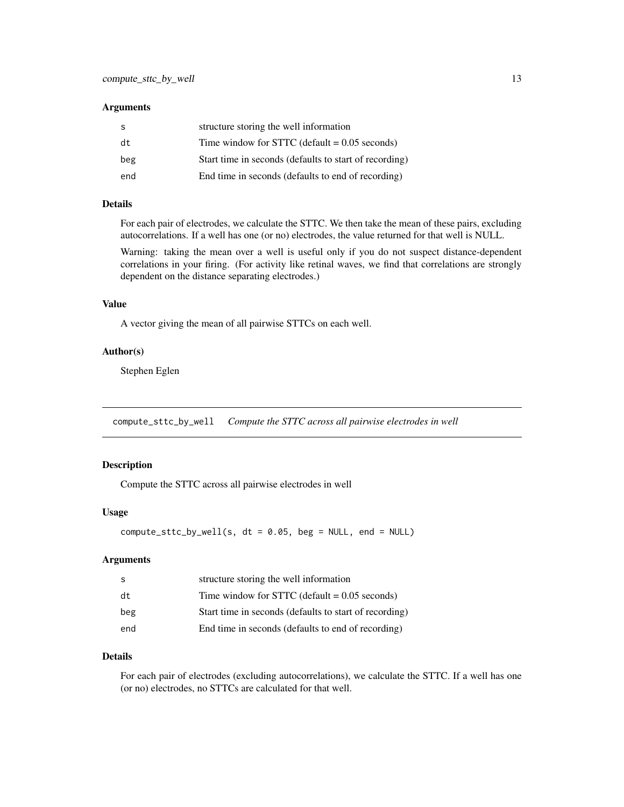#### <span id="page-12-0"></span>**Arguments**

|     | structure storing the well information                 |
|-----|--------------------------------------------------------|
| dt  | Time window for STTC (default $= 0.05$ seconds)        |
| beg | Start time in seconds (defaults to start of recording) |
| end | End time in seconds (defaults to end of recording)     |

### Details

For each pair of electrodes, we calculate the STTC. We then take the mean of these pairs, excluding autocorrelations. If a well has one (or no) electrodes, the value returned for that well is NULL.

Warning: taking the mean over a well is useful only if you do not suspect distance-dependent correlations in your firing. (For activity like retinal waves, we find that correlations are strongly dependent on the distance separating electrodes.)

#### Value

A vector giving the mean of all pairwise STTCs on each well.

#### Author(s)

Stephen Eglen

compute\_sttc\_by\_well *Compute the STTC across all pairwise electrodes in well*

### Description

Compute the STTC across all pairwise electrodes in well

#### Usage

 $compute\_sttc_by_well(s, dt = 0.05, beg = NULL, end = NULL)$ 

#### Arguments

| -S  | structure storing the well information                 |
|-----|--------------------------------------------------------|
| dt  | Time window for STTC (default $= 0.05$ seconds)        |
| beg | Start time in seconds (defaults to start of recording) |
| end | End time in seconds (defaults to end of recording)     |

#### Details

For each pair of electrodes (excluding autocorrelations), we calculate the STTC. If a well has one (or no) electrodes, no STTCs are calculated for that well.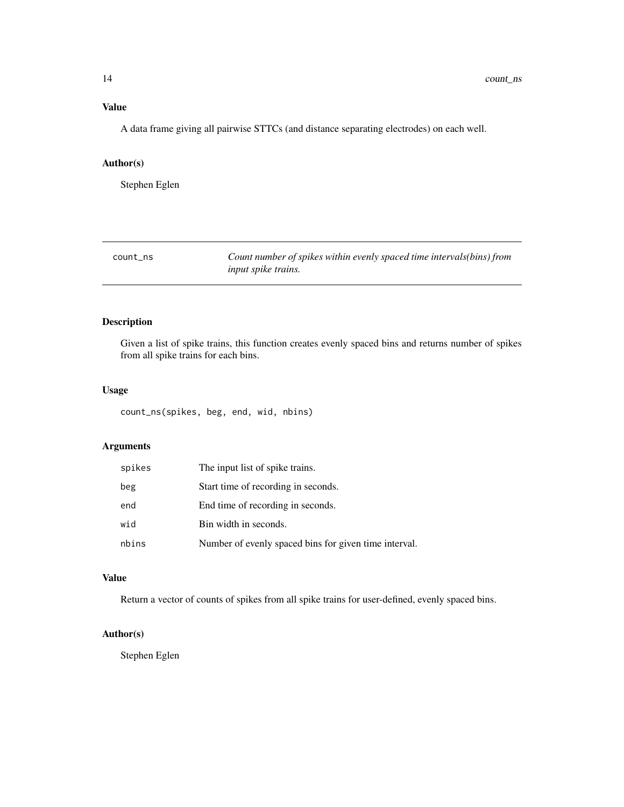### <span id="page-13-0"></span>Value

A data frame giving all pairwise STTCs (and distance separating electrodes) on each well.

### Author(s)

Stephen Eglen

| count ns | Count number of spikes within evenly spaced time intervals(bins) from |
|----------|-----------------------------------------------------------------------|
|          | <i>input spike trains.</i>                                            |

### Description

Given a list of spike trains, this function creates evenly spaced bins and returns number of spikes from all spike trains for each bins.

#### Usage

count\_ns(spikes, beg, end, wid, nbins)

### Arguments

| spikes | The input list of spike trains.                       |
|--------|-------------------------------------------------------|
| beg    | Start time of recording in seconds.                   |
| end    | End time of recording in seconds.                     |
| wid    | Bin width in seconds.                                 |
| nbins  | Number of evenly spaced bins for given time interval. |

### Value

Return a vector of counts of spikes from all spike trains for user-defined, evenly spaced bins.

### Author(s)

Stephen Eglen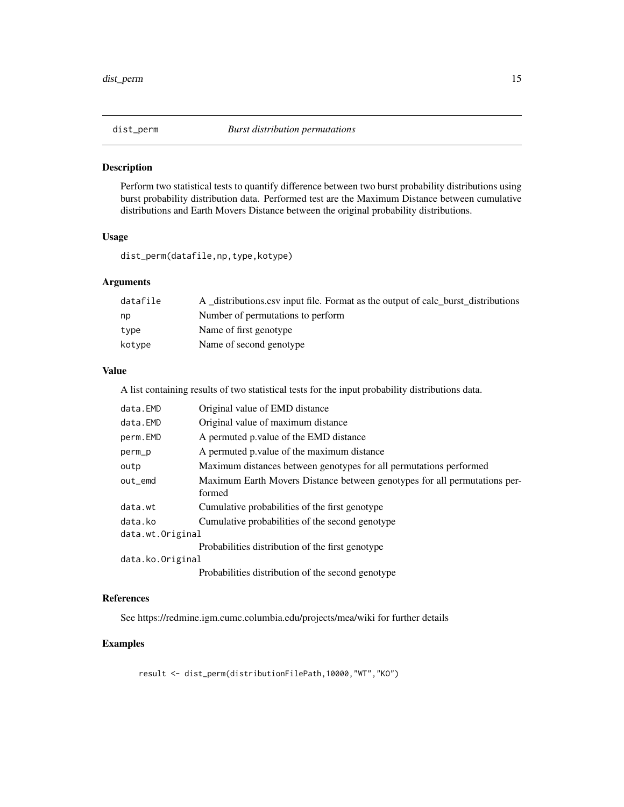<span id="page-14-0"></span>

Perform two statistical tests to quantify difference between two burst probability distributions using burst probability distribution data. Performed test are the Maximum Distance between cumulative distributions and Earth Movers Distance between the original probability distributions.

### Usage

dist\_perm(datafile,np,type,kotype)

### Arguments

| datafile | A distributions csy input file. Format as the output of calc burst distributions |
|----------|----------------------------------------------------------------------------------|
| np       | Number of permutations to perform                                                |
| tvpe     | Name of first genotype                                                           |
| kotype   | Name of second genotype                                                          |

### Value

A list containing results of two statistical tests for the input probability distributions data.

| data.EMD         | Original value of EMD distance                                            |  |
|------------------|---------------------------------------------------------------------------|--|
| data.EMD         | Original value of maximum distance                                        |  |
| perm.EMD         | A permuted p value of the EMD distance                                    |  |
| perm_p           | A permuted p value of the maximum distance                                |  |
| outp             | Maximum distances between genotypes for all permutations performed        |  |
| out emd          | Maximum Earth Movers Distance between genotypes for all permutations per- |  |
|                  | formed                                                                    |  |
| data.wt          | Cumulative probabilities of the first genotype                            |  |
| data.ko          | Cumulative probabilities of the second genotype                           |  |
| data.wt.Original |                                                                           |  |
|                  | Probabilities distribution of the first genotype                          |  |
| data.ko.Original |                                                                           |  |
|                  | Probabilities distribution of the second genotype                         |  |

### References

See https://redmine.igm.cumc.columbia.edu/projects/mea/wiki for further details

### Examples

result <- dist\_perm(distributionFilePath,10000,"WT","KO")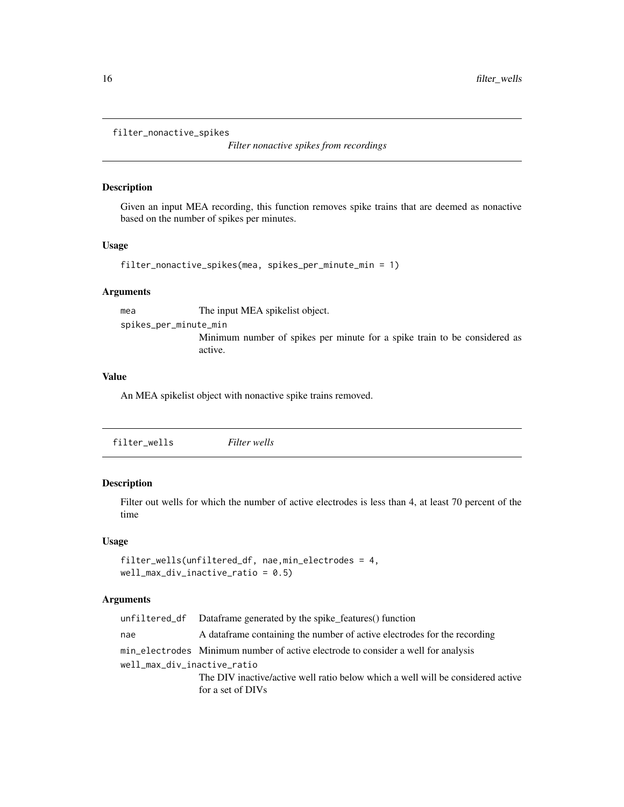```
filter_nonactive_spikes
```
*Filter nonactive spikes from recordings*

#### Description

Given an input MEA recording, this function removes spike trains that are deemed as nonactive based on the number of spikes per minutes.

### Usage

```
filter_nonactive_spikes(mea, spikes_per_minute_min = 1)
```
### Arguments

mea The input MEA spikelist object.

spikes\_per\_minute\_min

Minimum number of spikes per minute for a spike train to be considered as active.

### Value

An MEA spikelist object with nonactive spike trains removed.

### Description

Filter out wells for which the number of active electrodes is less than 4, at least 70 percent of the time

#### Usage

```
filter_wells(unfiltered_df, nae,min_electrodes = 4,
well_max\_div\_inactive\_ratio = 0.5)
```
### Arguments

|                             | unfiltered df Dataframe generated by the spike features() function                |  |
|-----------------------------|-----------------------------------------------------------------------------------|--|
| nae                         | A data frame containing the number of active electrodes for the recording         |  |
|                             | min electrodes Minimum number of active electrode to consider a well for analysis |  |
| well_max_div_inactive_ratio |                                                                                   |  |
|                             | The DIV inactive/active well ratio below which a well will be considered active   |  |
|                             | for a set of DIVs                                                                 |  |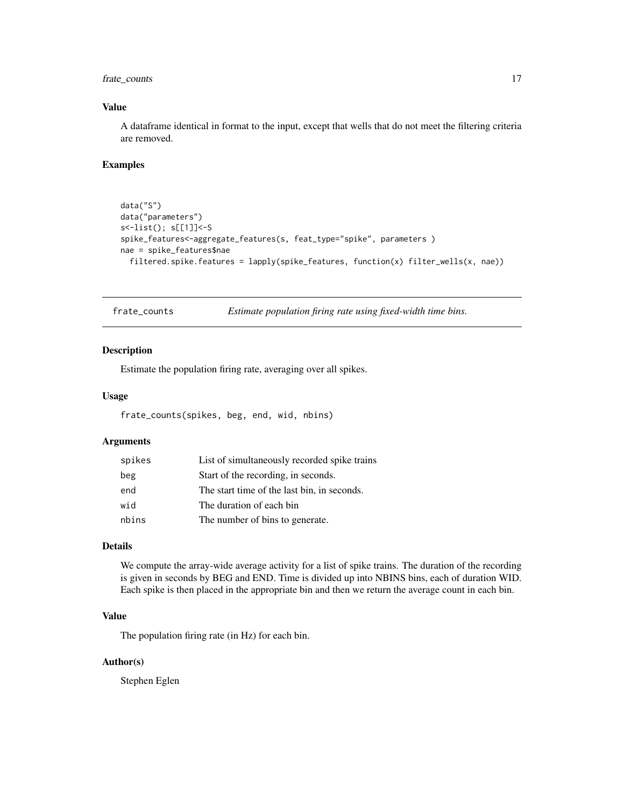### <span id="page-16-0"></span>frate\_counts 17

### Value

A dataframe identical in format to the input, except that wells that do not meet the filtering criteria are removed.

### Examples

```
data("S")
data("parameters")
s<-list(); s[[1]]<-S
spike_features<-aggregate_features(s, feat_type="spike", parameters )
nae = spike_features$nae
  filtered.spike.features = lapply(spike_features, function(x) filter_wells(x, nae))
```
frate\_counts *Estimate population firing rate using fixed-width time bins.*

### Description

Estimate the population firing rate, averaging over all spikes.

#### Usage

```
frate_counts(spikes, beg, end, wid, nbins)
```
#### Arguments

| spikes | List of simultaneously recorded spike trains |
|--------|----------------------------------------------|
| beg    | Start of the recording, in seconds.          |
| end    | The start time of the last bin, in seconds.  |
| wid    | The duration of each bin                     |
| nbins  | The number of bins to generate.              |

### Details

We compute the array-wide average activity for a list of spike trains. The duration of the recording is given in seconds by BEG and END. Time is divided up into NBINS bins, each of duration WID. Each spike is then placed in the appropriate bin and then we return the average count in each bin.

### Value

The population firing rate (in Hz) for each bin.

#### Author(s)

Stephen Eglen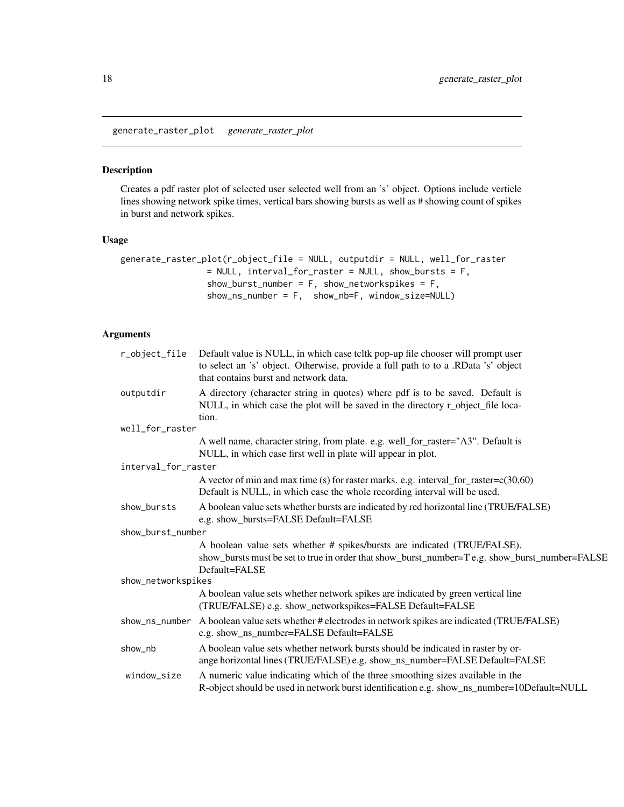<span id="page-17-0"></span>generate\_raster\_plot *generate\_raster\_plot*

#### Description

Creates a pdf raster plot of selected user selected well from an 's' object. Options include verticle lines showing network spike times, vertical bars showing bursts as well as # showing count of spikes in burst and network spikes.

### Usage

```
generate_raster_plot(r_object_file = NULL, outputdir = NULL, well_for_raster
                = NULL, interval_for_raster = NULL, show_bursts = F,
                 show_burst_number = F, show_networkspikes = F,
                 show_ns_number = F, show_nb=F, window_size=NULL)
```
### Arguments

| r_object_file       | Default value is NULL, in which case teltk pop-up file chooser will prompt user<br>to select an 's' object. Otherwise, provide a full path to to a .RData 's' object<br>that contains burst and network data. |
|---------------------|---------------------------------------------------------------------------------------------------------------------------------------------------------------------------------------------------------------|
| outputdir           | A directory (character string in quotes) where pdf is to be saved. Default is<br>NULL, in which case the plot will be saved in the directory r_object_file loca-<br>tion.                                     |
| well_for_raster     |                                                                                                                                                                                                               |
|                     | A well name, character string, from plate. e.g. well_for_raster="A3". Default is<br>NULL, in which case first well in plate will appear in plot.                                                              |
| interval_for_raster |                                                                                                                                                                                                               |
|                     | A vector of min and max time (s) for raster marks. e.g. interval_for_raster= $c(30,60)$<br>Default is NULL, in which case the whole recording interval will be used.                                          |
| show_bursts         | A boolean value sets whether bursts are indicated by red horizontal line (TRUE/FALSE)<br>e.g. show_bursts=FALSE Default=FALSE                                                                                 |
| show_burst_number   |                                                                                                                                                                                                               |
|                     | A boolean value sets whether # spikes/bursts are indicated (TRUE/FALSE).<br>show_bursts must be set to true in order that show_burst_number=T e.g. show_burst_number=FALSE<br>Default=FALSE                   |
| show_networkspikes  |                                                                                                                                                                                                               |
|                     | A boolean value sets whether network spikes are indicated by green vertical line<br>(TRUE/FALSE) e.g. show_networkspikes=FALSE Default=FALSE                                                                  |
| show_ns_number      | A boolean value sets whether # electrodes in network spikes are indicated (TRUE/FALSE)<br>e.g. show_ns_number=FALSE Default=FALSE                                                                             |
| show_nb             | A boolean value sets whether network bursts should be indicated in raster by or-<br>ange horizontal lines (TRUE/FALSE) e.g. show_ns_number=FALSE Default=FALSE                                                |
| window_size         | A numeric value indicating which of the three smoothing sizes available in the<br>R-object should be used in network burst identification e.g. show_ns_number=10Default=NULL                                  |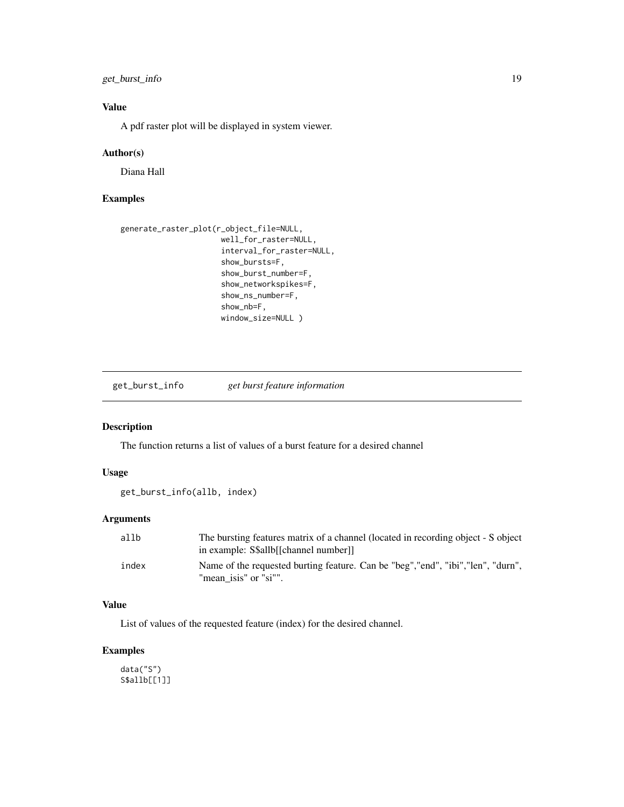### <span id="page-18-0"></span>get\_burst\_info 19

### Value

A pdf raster plot will be displayed in system viewer.

#### Author(s)

Diana Hall

#### Examples

```
generate_raster_plot(r_object_file=NULL,
                      well_for_raster=NULL,
                      interval_for_raster=NULL,
                      show_bursts=F,
                      show_burst_number=F,
                      show_networkspikes=F,
                      show_ns_number=F,
                      show_nb=F,
                      window_size=NULL )
```
get\_burst\_info *get burst feature information*

### Description

The function returns a list of values of a burst feature for a desired channel

#### Usage

```
get_burst_info(allb, index)
```
#### Arguments

| allb  | The bursting features matrix of a channel (located in recording object - S object<br>in example: S\$allb[[channel number]] |
|-------|----------------------------------------------------------------------------------------------------------------------------|
| index | Name of the requested burting feature. Can be "beg", "end", "ibi", "len", "durn",<br>"mean isis" or "si"".                 |

### Value

List of values of the requested feature (index) for the desired channel.

### Examples

data("S") S\$allb[[1]]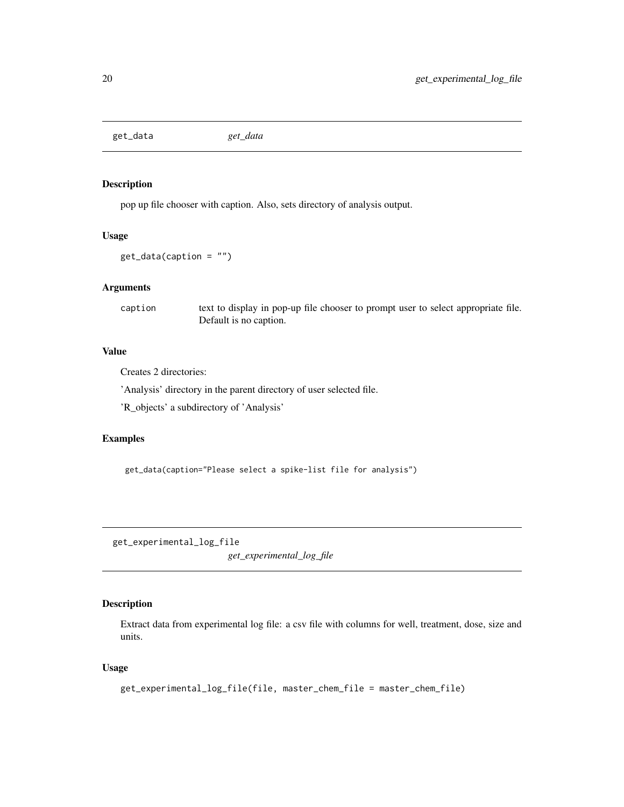<span id="page-19-0"></span>get\_data *get\_data*

### Description

pop up file chooser with caption. Also, sets directory of analysis output.

### Usage

```
get_data(caption = "")
```
### Arguments

caption text to display in pop-up file chooser to prompt user to select appropriate file. Default is no caption.

### Value

Creates 2 directories:

'Analysis' directory in the parent directory of user selected file.

'R\_objects' a subdirectory of 'Analysis'

### Examples

get\_data(caption="Please select a spike-list file for analysis")

get\_experimental\_log\_file *get\_experimental\_log\_file*

### Description

Extract data from experimental log file: a csv file with columns for well, treatment, dose, size and units.

### Usage

```
get_experimental_log_file(file, master_chem_file = master_chem_file)
```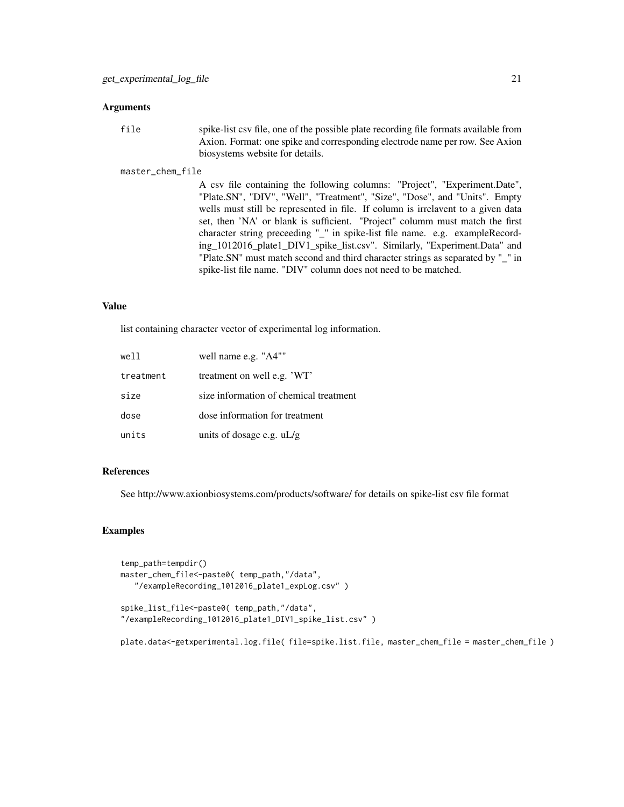#### Arguments

file spike-list csv file, one of the possible plate recording file formats available from Axion. Format: one spike and corresponding electrode name per row. See Axion biosystems website for details.

#### master\_chem\_file

A csv file containing the following columns: "Project", "Experiment.Date", "Plate.SN", "DIV", "Well", "Treatment", "Size", "Dose", and "Units". Empty wells must still be represented in file. If column is irrelavent to a given data set, then 'NA' or blank is sufficient. "Project" columm must match the first character string preceeding "\_" in spike-list file name. e.g. exampleRecording\_1012016\_plate1\_DIV1\_spike\_list.csv". Similarly, "Experiment.Data" and "Plate.SN" must match second and third character strings as separated by "\_" in spike-list file name. "DIV" column does not need to be matched.

#### Value

list containing character vector of experimental log information.

| well      | well name e.g. "A4""                   |
|-----------|----------------------------------------|
| treatment | treatment on well e.g. 'WT'            |
| size      | size information of chemical treatment |
| dose      | dose information for treatment         |
| units     | units of dosage e.g. $uL/g$            |

### References

See http://www.axionbiosystems.com/products/software/ for details on spike-list csv file format

#### Examples

```
temp_path=tempdir()
master_chem_file<-paste0( temp_path,"/data",
   "/exampleRecording_1012016_plate1_expLog.csv" )
```

```
spike_list_file<-paste0( temp_path,"/data",
"/exampleRecording_1012016_plate1_DIV1_spike_list.csv" )
```
plate.data<-getxperimental.log.file( file=spike.list.file, master\_chem\_file = master\_chem\_file )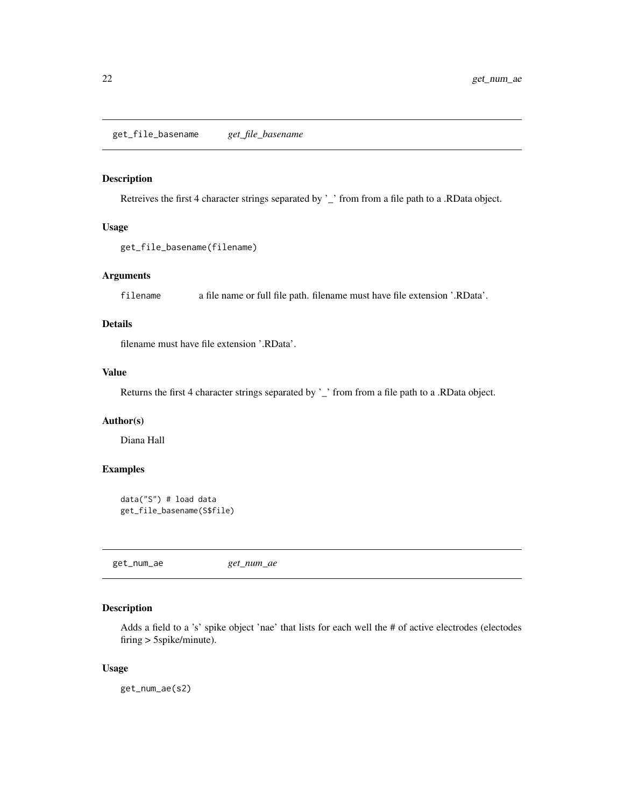<span id="page-21-0"></span>Retreives the first 4 character strings separated by '\_' from from a file path to a .RData object.

### Usage

```
get_file_basename(filename)
```
### Arguments

filename a file name or full file path. filename must have file extension '.RData'.

#### Details

filename must have file extension '.RData'.

### Value

Returns the first 4 character strings separated by '\_' from from a file path to a .RData object.

### Author(s)

Diana Hall

### Examples

```
data("S") # load data
get_file_basename(S$file)
```
get\_num\_ae *get\_num\_ae*

#### Description

Adds a field to a 's' spike object 'nae' that lists for each well the # of active electrodes (electodes firing > 5spike/minute).

#### Usage

get\_num\_ae(s2)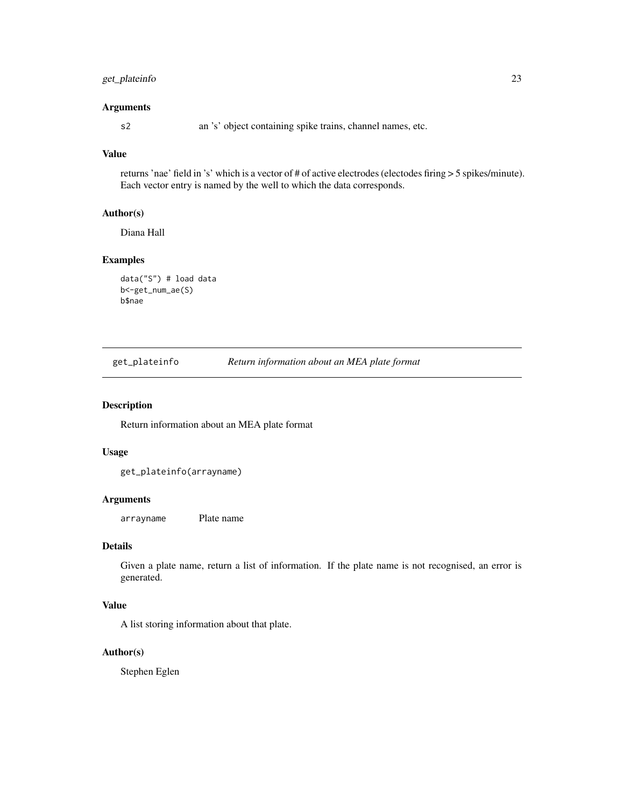### <span id="page-22-0"></span>get\_plateinfo 23

#### Arguments

s2 an 's' object containing spike trains, channel names, etc.

### Value

returns 'nae' field in 's' which is a vector of # of active electrodes (electodes firing > 5 spikes/minute). Each vector entry is named by the well to which the data corresponds.

### Author(s)

Diana Hall

#### Examples

```
data("S") # load data
b<-get_num_ae(S)
b$nae
```

| get_plateinfo | Return information about an MEA plate format |  |
|---------------|----------------------------------------------|--|
|               |                                              |  |

#### Description

Return information about an MEA plate format

#### Usage

get\_plateinfo(arrayname)

#### Arguments

arrayname Plate name

### Details

Given a plate name, return a list of information. If the plate name is not recognised, an error is generated.

### Value

A list storing information about that plate.

### Author(s)

Stephen Eglen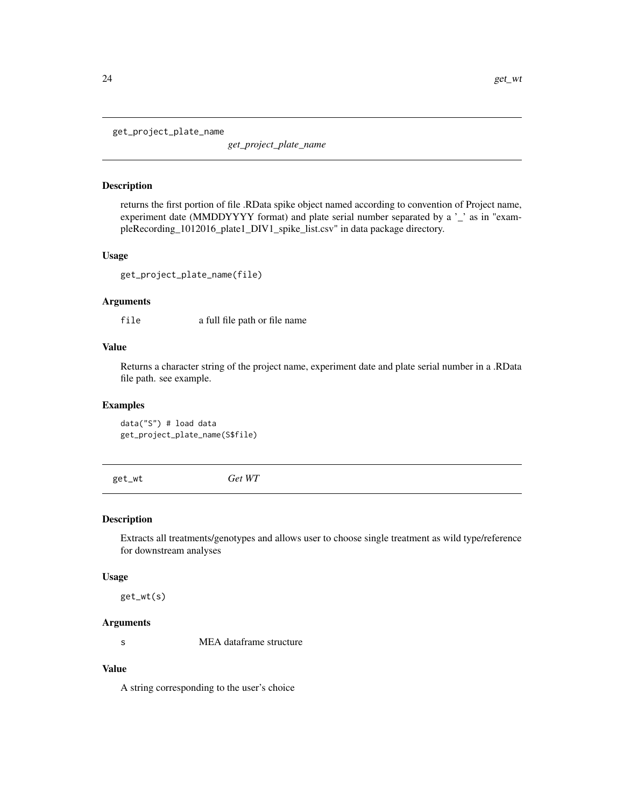<span id="page-23-0"></span>get\_project\_plate\_name

*get\_project\_plate\_name*

### Description

returns the first portion of file .RData spike object named according to convention of Project name, experiment date (MMDDYYYY format) and plate serial number separated by a '\_' as in "exampleRecording\_1012016\_plate1\_DIV1\_spike\_list.csv" in data package directory.

#### Usage

```
get_project_plate_name(file)
```
### Arguments

file a full file path or file name

### Value

Returns a character string of the project name, experiment date and plate serial number in a .RData file path. see example.

#### Examples

data("S") # load data get\_project\_plate\_name(S\$file)

get\_wt *Get WT*

#### Description

Extracts all treatments/genotypes and allows user to choose single treatment as wild type/reference for downstream analyses

#### Usage

get\_wt(s)

### Arguments

s MEA dataframe structure

### Value

A string corresponding to the user's choice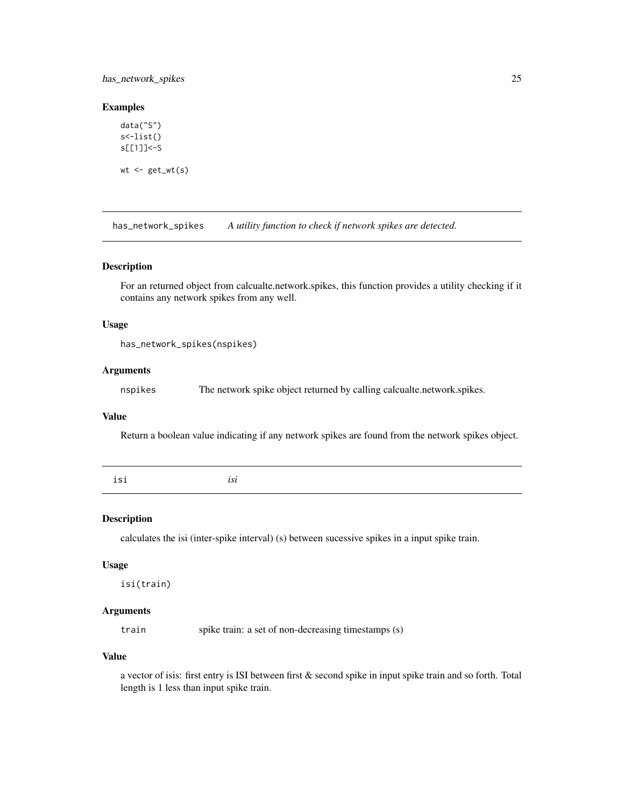### <span id="page-24-0"></span>has\_network\_spikes 25

### Examples

```
data("S")
s<-list()
s[[1]]<-S
wt \leftarrow get_wt(s)
```
has\_network\_spikes *A utility function to check if network spikes are detected.*

#### Description

For an returned object from calcualte.network.spikes, this function provides a utility checking if it contains any network spikes from any well.

#### Usage

```
has_network_spikes(nspikes)
```
#### Arguments

nspikes The network spike object returned by calling calcualte.network.spikes.

### Value

Return a boolean value indicating if any network spikes are found from the network spikes object.

|  | isi | isi |  |  |  |
|--|-----|-----|--|--|--|
|--|-----|-----|--|--|--|

#### Description

calculates the isi (inter-spike interval) (s) between sucessive spikes in a input spike train.

#### Usage

isi(train)

### Arguments

train spike train: a set of non-decreasing timestamps (s)

#### Value

a vector of isis: first entry is ISI between first & second spike in input spike train and so forth. Total length is 1 less than input spike train.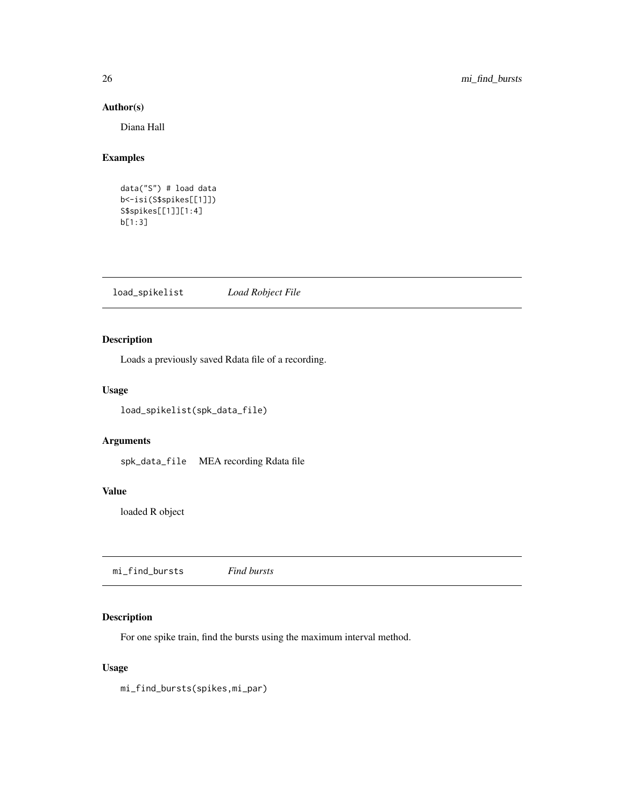#### Author(s)

Diana Hall

### Examples

data("S") # load data b<-isi(S\$spikes[[1]]) S\$spikes[[1]][1:4] b[1:3]

load\_spikelist *Load Robject File*

### Description

Loads a previously saved Rdata file of a recording.

#### Usage

load\_spikelist(spk\_data\_file)

### Arguments

spk\_data\_file MEA recording Rdata file

#### Value

loaded R object

mi\_find\_bursts *Find bursts*

### Description

For one spike train, find the bursts using the maximum interval method.

#### Usage

mi\_find\_bursts(spikes,mi\_par)

<span id="page-25-0"></span>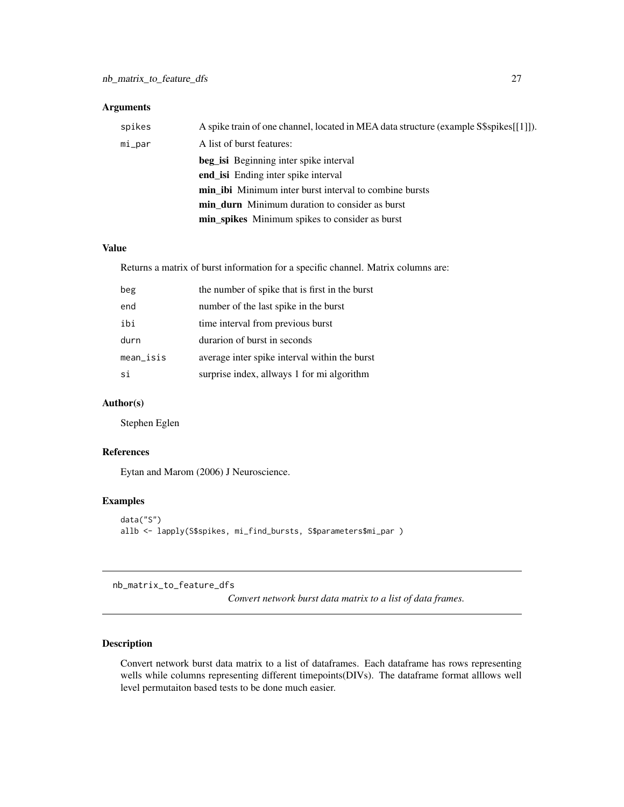#### <span id="page-26-0"></span>Arguments

| spikes | A spike train of one channel, located in MEA data structure (example S\$spikes[[1]]). |
|--------|---------------------------------------------------------------------------------------|
| mi_par | A list of burst features:                                                             |
|        | <b>beg_isi</b> Beginning inter spike interval                                         |
|        | end is Ending inter spike interval                                                    |
|        | <b>min ibi</b> Minimum inter burst interval to combine bursts                         |
|        | <b>min durn</b> Minimum duration to consider as burst                                 |
|        | min_spikes Minimum spikes to consider as burst                                        |

#### Value

Returns a matrix of burst information for a specific channel. Matrix columns are:

| beg         | the number of spike that is first in the burst |
|-------------|------------------------------------------------|
| end         | number of the last spike in the burst          |
| ibi         | time interval from previous burst              |
| durn        | durarion of burst in seconds                   |
| $mean$ isis | average inter spike interval within the burst  |
| si          | surprise index, allways 1 for mi algorithm     |

### Author(s)

Stephen Eglen

#### References

Eytan and Marom (2006) J Neuroscience.

### Examples

```
data("S")
allb <- lapply(S$spikes, mi_find_bursts, S$parameters$mi_par )
```
nb\_matrix\_to\_feature\_dfs

*Convert network burst data matrix to a list of data frames.*

### Description

Convert network burst data matrix to a list of dataframes. Each dataframe has rows representing wells while columns representing different timepoints(DIVs). The dataframe format alllows well level permutaiton based tests to be done much easier.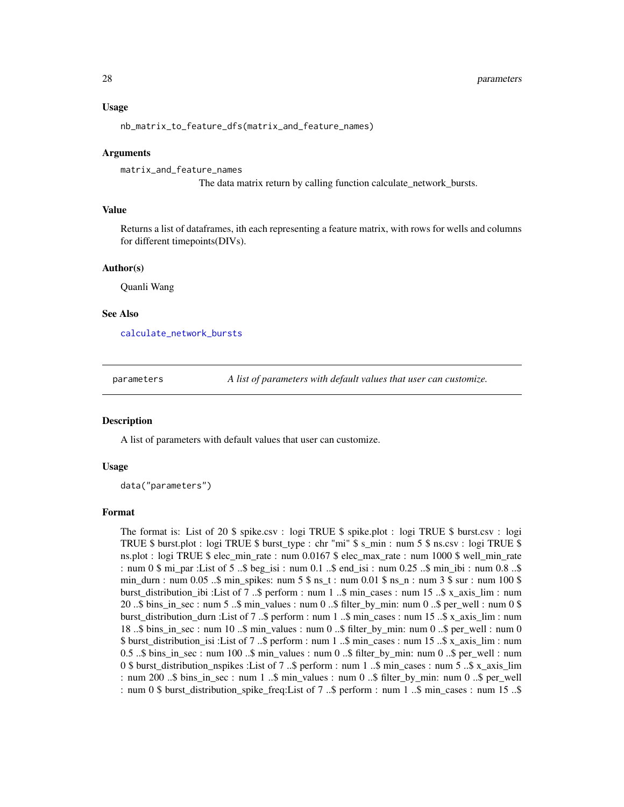#### <span id="page-27-0"></span>Usage

```
nb_matrix_to_feature_dfs(matrix_and_feature_names)
```
#### Arguments

```
matrix_and_feature_names
```
The data matrix return by calling function calculate\_network\_bursts.

#### Value

Returns a list of dataframes, ith each representing a feature matrix, with rows for wells and columns for different timepoints(DIVs).

#### Author(s)

Quanli Wang

#### See Also

[calculate\\_network\\_bursts](#page-6-1)

parameters *A list of parameters with default values that user can customize.*

#### **Description**

A list of parameters with default values that user can customize.

#### Usage

data("parameters")

#### Format

The format is: List of 20 \$ spike.csv : logi TRUE \$ spike.plot : logi TRUE \$ burst.csv : logi TRUE \$ burst.plot : logi TRUE \$ burst\_type : chr "mi" \$ s\_min : num 5 \$ ns.csv : logi TRUE \$ ns.plot : logi TRUE \$ elec min rate : num 0.0167 \$ elec max rate : num 1000 \$ well min rate : num 0 \$ mi\_par :List of 5 ..\$ beg\_isi : num 0.1 ..\$ end\_isi : num 0.25 ..\$ min\_ibi : num 0.8 ..\$ min\_durn : num 0.05 ..\$ min\_spikes: num  $5$  \$ ns\_t : num  $0.01$  \$ ns\_n : num  $3$  \$ sur : num  $100$  \$ burst\_distribution\_ibi :List of 7 ..\$ perform : num 1 ..\$ min\_cases : num 15 ..\$ x\_axis\_lim : num 20 ..\$ bins\_in\_sec : num 5 ..\$ min\_values : num 0 ..\$ filter\_by\_min: num 0 ..\$ per\_well : num 0 \$ burst\_distribution\_durn :List of 7 ..\$ perform : num 1 ..\$ min\_cases : num 15 ..\$ x\_axis\_lim : num 18 ..\$ bins\_in\_sec : num 10 ..\$ min\_values : num 0 ..\$ filter\_by\_min: num 0 ..\$ per\_well : num 0 \$ burst\_distribution\_isi :List of 7 ..\$ perform : num 1 ..\$ min\_cases : num 15 ..\$ x\_axis\_lim : num 0.5 ..\$ bins in sec : num 100 ..\$ min\_values : num 0 ..\$ filter by min: num 0 ..\$ per well : num 0 \$ burst\_distribution\_nspikes :List of 7 ..\$ perform : num 1 ..\$ min\_cases : num 5 ..\$ x\_axis\_lim : num 200 ..\$ bins\_in\_sec : num 1 ..\$ min\_values : num 0 ..\$ filter\_by\_min: num 0 ..\$ per\_well : num 0 \$ burst\_distribution\_spike\_freq:List of 7 ..\$ perform : num 1 ..\$ min\_cases : num 15 ..\$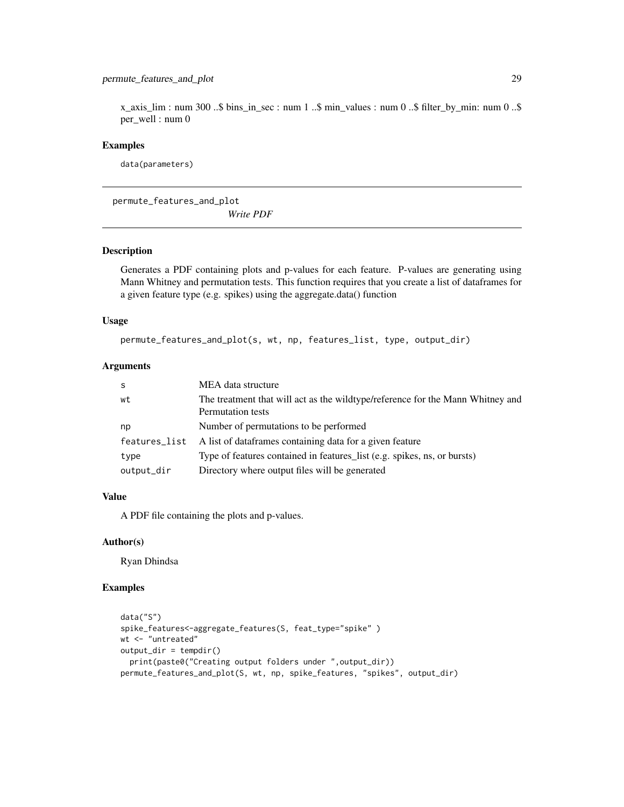### <span id="page-28-0"></span>permute\_features\_and\_plot 29

 $x_axis_l$ lim : num 300 ..\$ bins\_in\_sec : num 1 ..\$ min\_values : num 0 ..\$ filter\_by\_min: num 0 ..\$ per\_well : num 0

#### Examples

data(parameters)

permute\_features\_and\_plot *Write PDF*

### Description

Generates a PDF containing plots and p-values for each feature. P-values are generating using Mann Whitney and permutation tests. This function requires that you create a list of dataframes for a given feature type (e.g. spikes) using the aggregate.data() function

### Usage

permute\_features\_and\_plot(s, wt, np, features\_list, type, output\_dir)

#### Arguments

| S             | MEA data structure                                                                                  |
|---------------|-----------------------------------------------------------------------------------------------------|
| wt            | The treatment that will act as the wildtype/reference for the Mann Whitney and<br>Permutation tests |
| np            | Number of permutations to be performed                                                              |
| features_list | A list of dataframes containing data for a given feature                                            |
| type          | Type of features contained in features_list (e.g. spikes, ns, or bursts)                            |
| output_dir    | Directory where output files will be generated                                                      |

### Value

A PDF file containing the plots and p-values.

#### Author(s)

Ryan Dhindsa

### Examples

```
data("S")
spike_features<-aggregate_features(S, feat_type="spike" )
wt <- "untreated"
output\_dir = template()print(paste0("Creating output folders under ",output_dir))
permute_features_and_plot(S, wt, np, spike_features, "spikes", output_dir)
```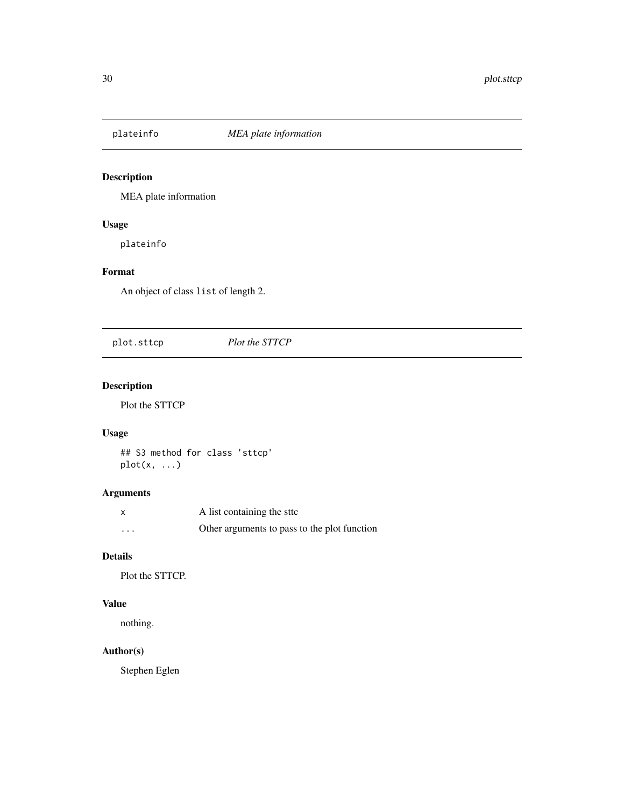<span id="page-29-0"></span>

MEA plate information

### Usage

plateinfo

### Format

An object of class list of length 2.

plot.sttcp *Plot the STTCP*

### Description

Plot the STTCP

### Usage

## S3 method for class 'sttcp'  $plot(x, \ldots)$ 

### Arguments

|          | A list containing the sttc                   |
|----------|----------------------------------------------|
| $\cdots$ | Other arguments to pass to the plot function |

### Details

Plot the STTCP.

### Value

nothing.

### Author(s)

Stephen Eglen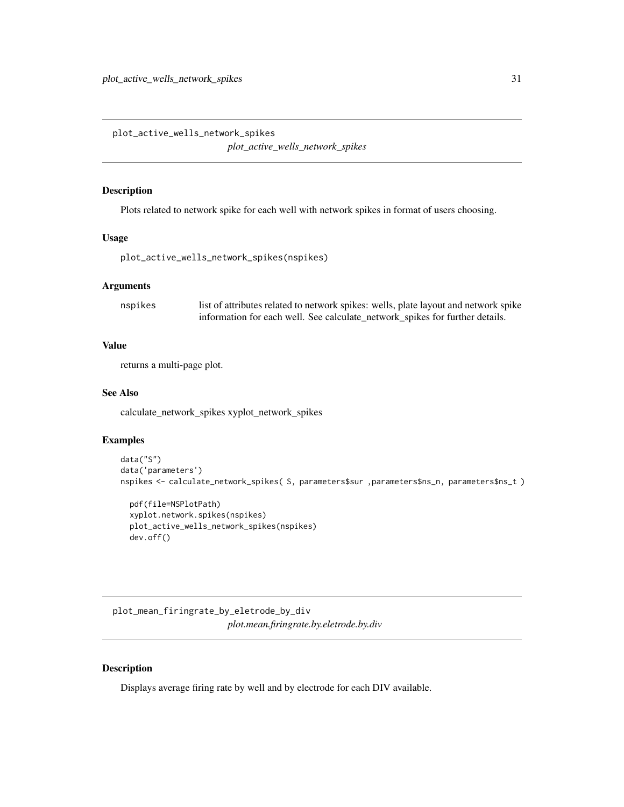<span id="page-30-0"></span>plot\_active\_wells\_network\_spikes *plot\_active\_wells\_network\_spikes*

#### Description

Plots related to network spike for each well with network spikes in format of users choosing.

#### Usage

```
plot_active_wells_network_spikes(nspikes)
```
### Arguments

nspikes list of attributes related to network spikes: wells, plate layout and network spike information for each well. See calculate\_network\_spikes for further details.

### Value

returns a multi-page plot.

### See Also

calculate\_network\_spikes xyplot\_network\_spikes

#### Examples

```
data("S")
data('parameters')
nspikes <- calculate_network_spikes( S, parameters$sur ,parameters$ns_n, parameters$ns_t )
```

```
pdf(file=NSPlotPath)
xyplot.network.spikes(nspikes)
plot_active_wells_network_spikes(nspikes)
dev.off()
```
plot\_mean\_firingrate\_by\_eletrode\_by\_div *plot.mean.firingrate.by.eletrode.by.div*

### Description

Displays average firing rate by well and by electrode for each DIV available.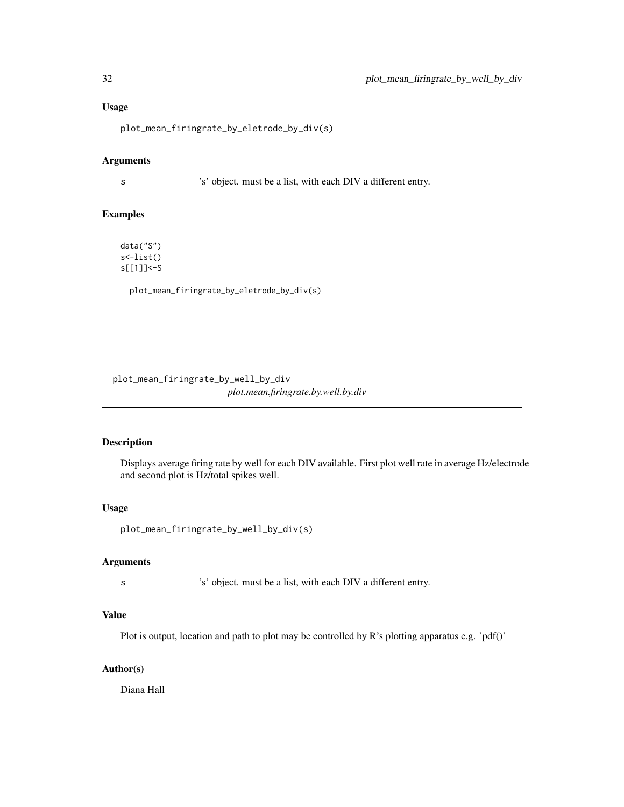### Usage

plot\_mean\_firingrate\_by\_eletrode\_by\_div(s)

#### Arguments

s 's' object. must be a list, with each DIV a different entry.

#### Examples

data("S") s<-list() s[[1]]<-S

plot\_mean\_firingrate\_by\_eletrode\_by\_div(s)

plot\_mean\_firingrate\_by\_well\_by\_div *plot.mean.firingrate.by.well.by.div*

### Description

Displays average firing rate by well for each DIV available. First plot well rate in average Hz/electrode and second plot is Hz/total spikes well.

#### Usage

plot\_mean\_firingrate\_by\_well\_by\_div(s)

### Arguments

s 's' object. must be a list, with each DIV a different entry.

### Value

Plot is output, location and path to plot may be controlled by R's plotting apparatus e.g. 'pdf()'

### Author(s)

Diana Hall

<span id="page-31-0"></span>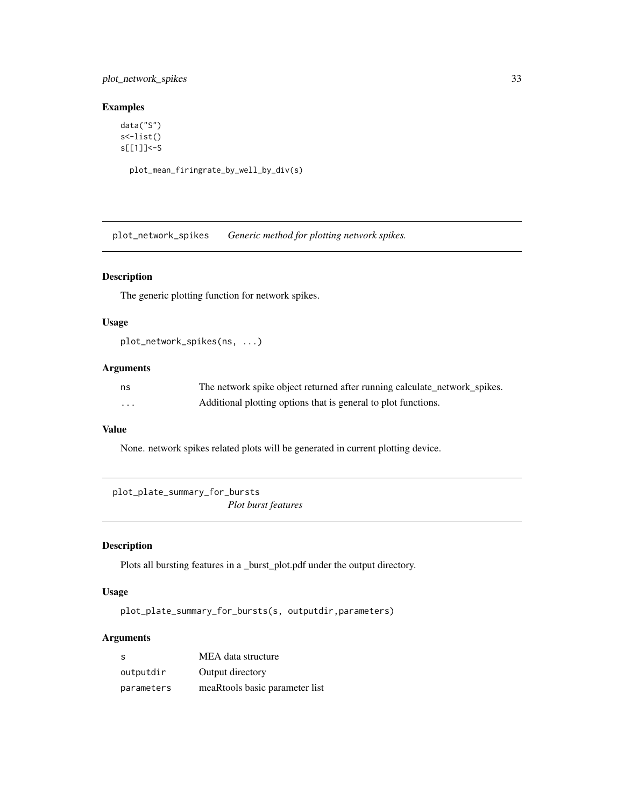### <span id="page-32-0"></span>plot\_network\_spikes 33

### Examples

```
data("S")
s<-list()
s[[1]]<-S
```
plot\_mean\_firingrate\_by\_well\_by\_div(s)

plot\_network\_spikes *Generic method for plotting network spikes.*

### Description

The generic plotting function for network spikes.

### Usage

```
plot_network_spikes(ns, ...)
```
#### Arguments

| ns | The network spike object returned after running calculate_network_spikes. |
|----|---------------------------------------------------------------------------|
| .  | Additional plotting options that is general to plot functions.            |

### Value

None. network spikes related plots will be generated in current plotting device.

plot\_plate\_summary\_for\_bursts *Plot burst features*

### Description

Plots all bursting features in a \_burst\_plot.pdf under the output directory.

#### Usage

plot\_plate\_summary\_for\_bursts(s, outputdir,parameters)

### Arguments

| -S         | MEA data structure             |
|------------|--------------------------------|
| outputdir  | Output directory               |
| parameters | meaRtools basic parameter list |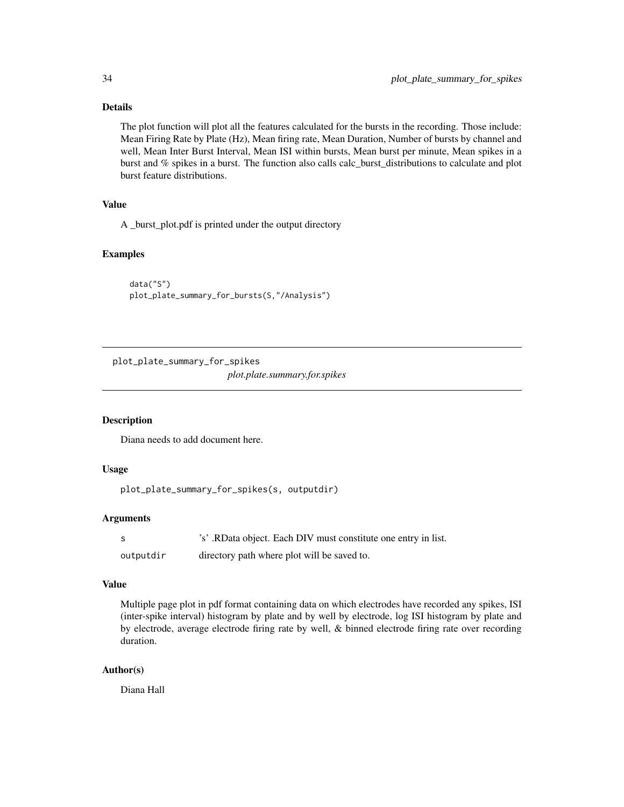### <span id="page-33-0"></span>Details

The plot function will plot all the features calculated for the bursts in the recording. Those include: Mean Firing Rate by Plate (Hz), Mean firing rate, Mean Duration, Number of bursts by channel and well, Mean Inter Burst Interval, Mean ISI within bursts, Mean burst per minute, Mean spikes in a burst and % spikes in a burst. The function also calls calc\_burst\_distributions to calculate and plot burst feature distributions.

### Value

A \_burst\_plot.pdf is printed under the output directory

#### Examples

```
data("S")
plot_plate_summary_for_bursts(S,"/Analysis")
```
plot\_plate\_summary\_for\_spikes

*plot.plate.summary.for.spikes*

### Description

Diana needs to add document here.

#### Usage

```
plot_plate_summary_for_spikes(s, outputdir)
```
#### Arguments

| - S       | 's'. RData object. Each DIV must constitute one entry in list. |
|-----------|----------------------------------------------------------------|
| outputdir | directory path where plot will be saved to.                    |

### Value

Multiple page plot in pdf format containing data on which electrodes have recorded any spikes, ISI (inter-spike interval) histogram by plate and by well by electrode, log ISI histogram by plate and by electrode, average electrode firing rate by well, & binned electrode firing rate over recording duration.

#### Author(s)

Diana Hall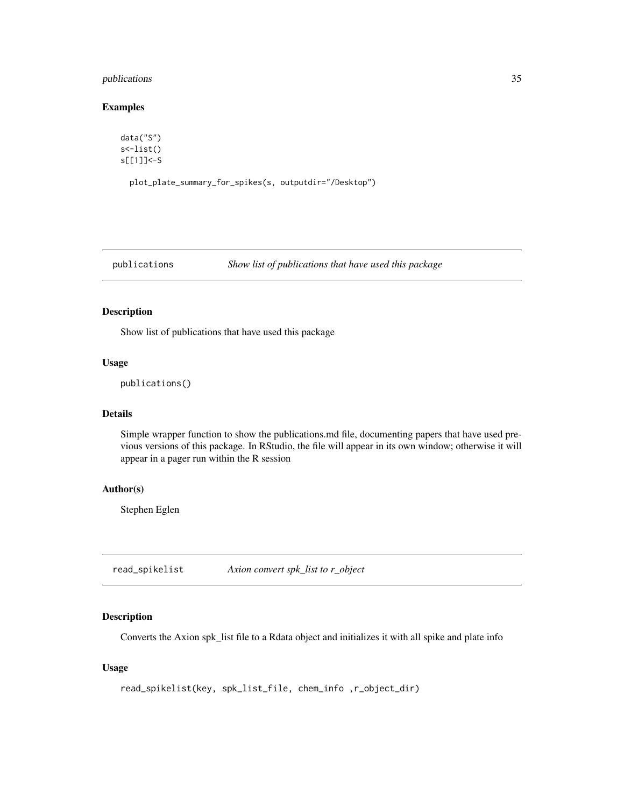### <span id="page-34-0"></span>publications 35

### Examples

data("S") s<-list() s[[1]]<-S

plot\_plate\_summary\_for\_spikes(s, outputdir="/Desktop")

```
publications Show list of publications that have used this package
```
### Description

Show list of publications that have used this package

#### Usage

```
publications()
```
### Details

Simple wrapper function to show the publications.md file, documenting papers that have used previous versions of this package. In RStudio, the file will appear in its own window; otherwise it will appear in a pager run within the R session

#### Author(s)

Stephen Eglen

read\_spikelist *Axion convert spk\_list to r\_object*

### Description

Converts the Axion spk\_list file to a Rdata object and initializes it with all spike and plate info

### Usage

```
read_spikelist(key, spk_list_file, chem_info ,r_object_dir)
```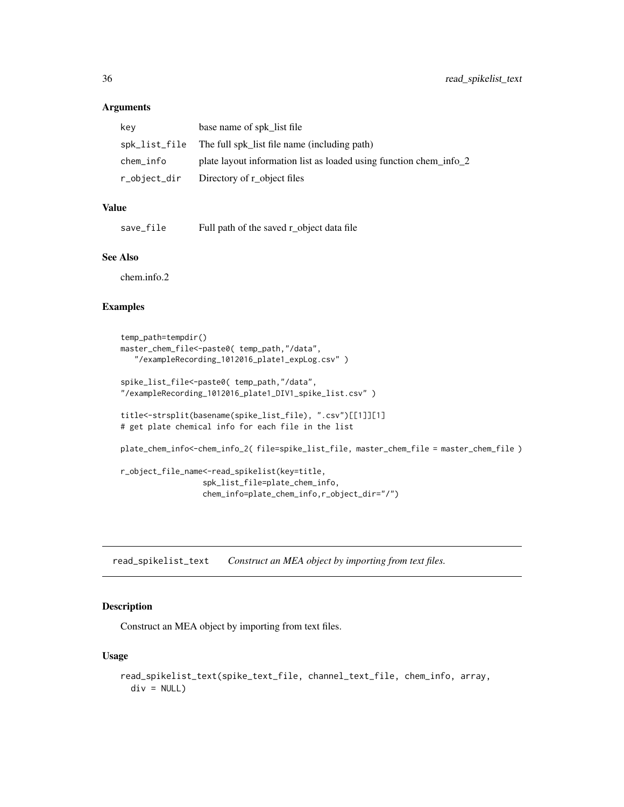#### Arguments

| key       | base name of spk list file                                         |
|-----------|--------------------------------------------------------------------|
|           | spk_list_file The full spk list file name (including path)         |
| chem_info | plate layout information list as loaded using function chem_info_2 |
|           | r_object_dir Directory of r_object files                           |

### Value

| save_file |  | Full path of the saved r_object data file |  |
|-----------|--|-------------------------------------------|--|
|-----------|--|-------------------------------------------|--|

#### See Also

chem.info.2

### Examples

```
temp_path=tempdir()
master_chem_file<-paste0( temp_path,"/data",
   "/exampleRecording_1012016_plate1_expLog.csv" )
spike_list_file<-paste0( temp_path,"/data",
"/exampleRecording_1012016_plate1_DIV1_spike_list.csv" )
title<-strsplit(basename(spike_list_file), ".csv")[[1]][1]
# get plate chemical info for each file in the list
plate_chem_info<-chem_info_2( file=spike_list_file, master_chem_file = master_chem_file )
r_object_file_name<-read_spikelist(key=title,
                  spk_list_file=plate_chem_info,
                  chem_info=plate_chem_info,r_object_dir="/")
```
read\_spikelist\_text *Construct an MEA object by importing from text files.*

### Description

Construct an MEA object by importing from text files.

#### Usage

```
read_spikelist_text(spike_text_file, channel_text_file, chem_info, array,
 div = NULL
```
<span id="page-35-0"></span>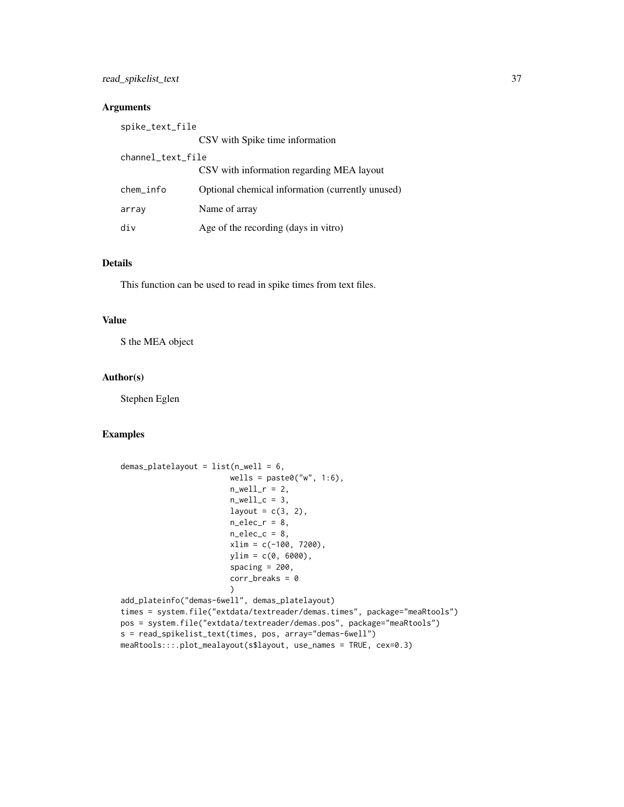### read\_spikelist\_text 37

### Arguments

| spike_text_file   |                                                  |
|-------------------|--------------------------------------------------|
|                   | CSV with Spike time information                  |
| channel_text_file |                                                  |
|                   | CSV with information regarding MEA layout        |
| chem_info         | Optional chemical information (currently unused) |
| array             | Name of array                                    |
| div               | Age of the recording (days in vitro)             |

### Details

This function can be used to read in spike times from text files.

#### Value

S the MEA object

### Author(s)

Stephen Eglen

### Examples

```
demas_platelayout = list(n_well = 6,
                         wells = paste0("w", 1:6),n<sub>-well_r</sub> = 2,
                         n<sub>-well_c</sub> = 3,
                         layout = c(3, 2),
                         n_{\text{elec}} - r = 8,
                         n_elec_c = 8,
                         xlim = c(-100, 7200),
                         ylim = c(0, 6000),
                         spacing = 200,
                         corr_breaks = 0)
add_plateinfo("demas-6well", demas_platelayout)
times = system.file("extdata/textreader/demas.times", package="meaRtools")
pos = system.file("extdata/textreader/demas.pos", package="meaRtools")
s = read_spikelist_text(times, pos, array="demas-6well")
meaRtools:::.plot_mealayout(s$layout, use_names = TRUE, cex=0.3)
```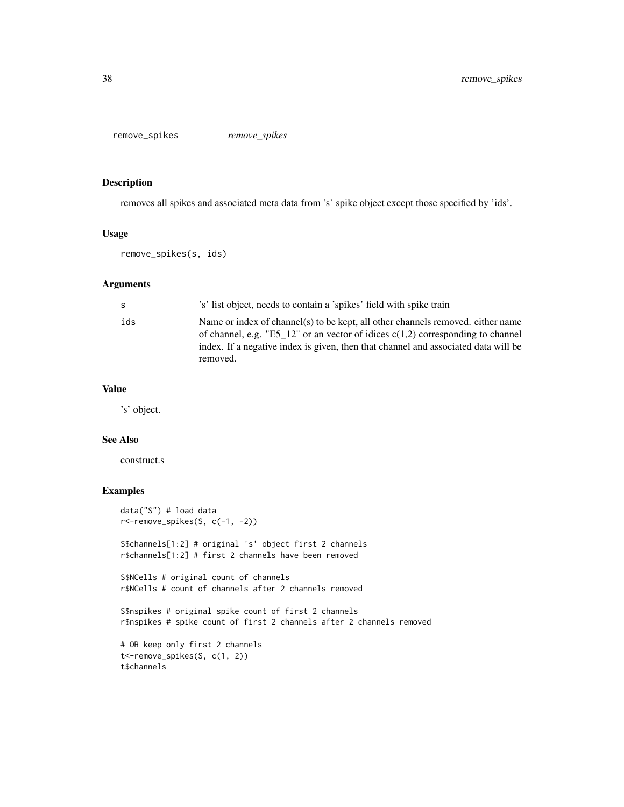<span id="page-37-0"></span>remove\_spikes *remove\_spikes*

#### Description

removes all spikes and associated meta data from 's' spike object except those specified by 'ids'.

#### Usage

remove\_spikes(s, ids)

#### Arguments

| -S  | 's' list object, needs to contain a 'spikes' field with spike train                                                                                                                                                                                                    |
|-----|------------------------------------------------------------------------------------------------------------------------------------------------------------------------------------------------------------------------------------------------------------------------|
| ids | Name or index of channel(s) to be kept, all other channels removed, either name<br>of channel, e.g. "E5_12" or an vector of idices $c(1,2)$ corresponding to channel<br>index. If a negative index is given, then that channel and associated data will be<br>removed. |

#### Value

's' object.

#### See Also

construct.s

### Examples

```
data("S") # load data
r<-remove_spikes(S, c(-1, -2))
S$channels[1:2] # original 's' object first 2 channels
r$channels[1:2] # first 2 channels have been removed
S$NCells # original count of channels
r$NCells # count of channels after 2 channels removed
S$nspikes # original spike count of first 2 channels
r$nspikes # spike count of first 2 channels after 2 channels removed
# OR keep only first 2 channels
t<-remove_spikes(S, c(1, 2))
t$channels
```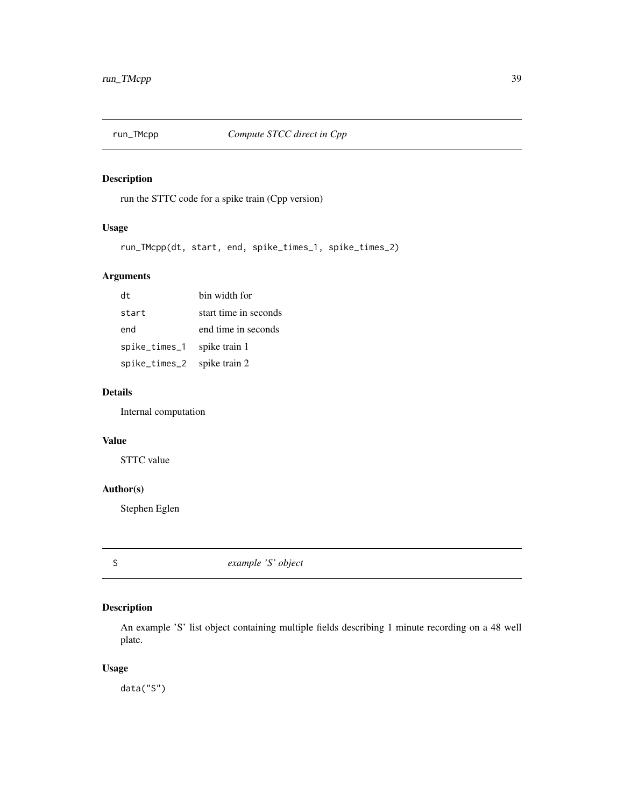<span id="page-38-0"></span>

run the STTC code for a spike train (Cpp version)

### Usage

run\_TMcpp(dt, start, end, spike\_times\_1, spike\_times\_2)

### Arguments

| dt            | bin width for         |
|---------------|-----------------------|
| start         | start time in seconds |
| end           | end time in seconds   |
| spike_times_1 | spike train 1         |
| spike_times_2 | spike train 2         |

### Details

Internal computation

### Value

STTC value

#### Author(s)

Stephen Eglen

S *example 'S' object*

### Description

An example 'S' list object containing multiple fields describing 1 minute recording on a 48 well plate.

### Usage

data("S")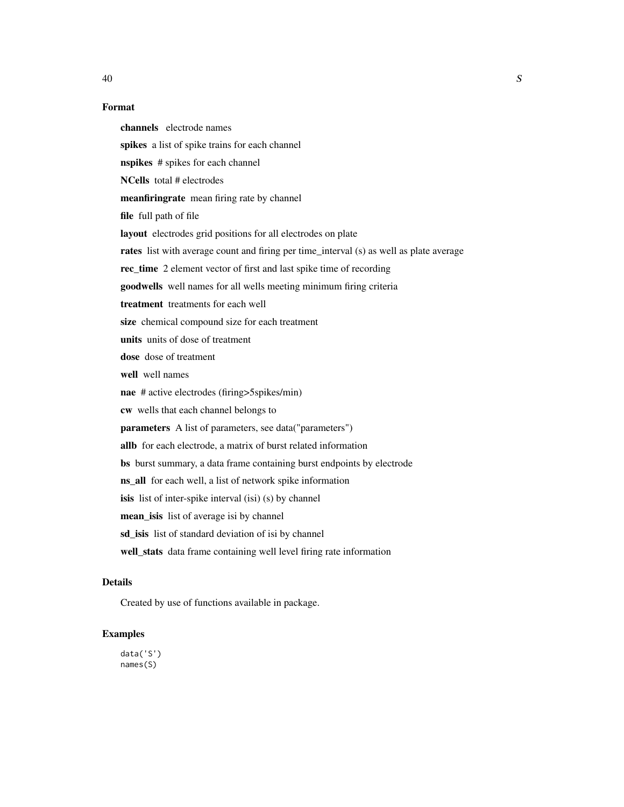### Format

channels electrode names spikes a list of spike trains for each channel nspikes # spikes for each channel NCells total # electrodes meanfiringrate mean firing rate by channel file full path of file layout electrodes grid positions for all electrodes on plate rates list with average count and firing per time\_interval (s) as well as plate average rec\_time 2 element vector of first and last spike time of recording goodwells well names for all wells meeting minimum firing criteria treatment treatments for each well size chemical compound size for each treatment units units of dose of treatment dose dose of treatment well well names nae # active electrodes (firing>5spikes/min) cw wells that each channel belongs to parameters A list of parameters, see data("parameters") allb for each electrode, a matrix of burst related information bs burst summary, a data frame containing burst endpoints by electrode ns\_all for each well, a list of network spike information isis list of inter-spike interval (isi) (s) by channel mean\_isis list of average isi by channel sd\_isis list of standard deviation of isi by channel well\_stats data frame containing well level firing rate information

### Details

Created by use of functions available in package.

### Examples

data('S') names(S)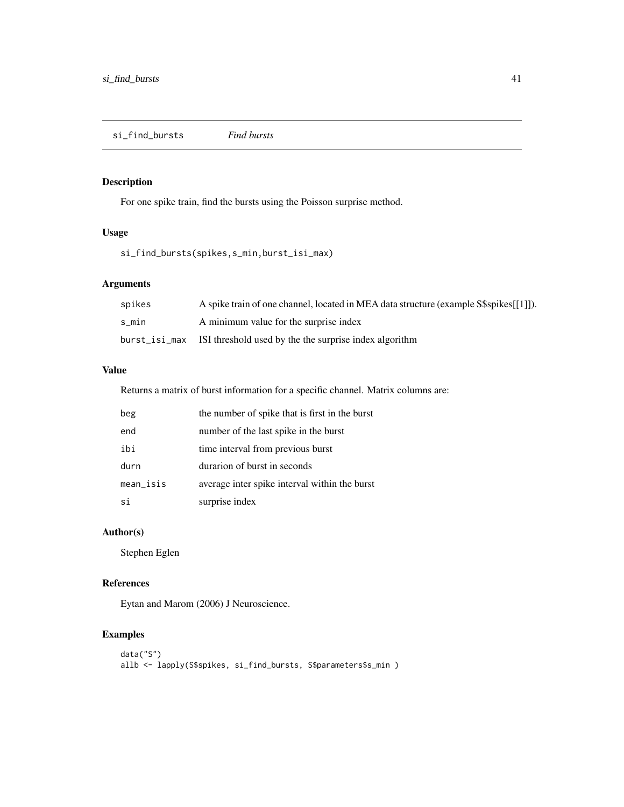<span id="page-40-0"></span>si\_find\_bursts *Find bursts*

### Description

For one spike train, find the bursts using the Poisson surprise method.

### Usage

si\_find\_bursts(spikes,s\_min,burst\_isi\_max)

### Arguments

| spikes | A spike train of one channel, located in MEA data structure (example S\$spikes[[1]]). |
|--------|---------------------------------------------------------------------------------------|
| s min  | A minimum value for the surprise index                                                |
|        | burst_isi_max ISI threshold used by the the surprise index algorithm                  |

### Value

Returns a matrix of burst information for a specific channel. Matrix columns are:

| beg          | the number of spike that is first in the burst |
|--------------|------------------------------------------------|
| end          | number of the last spike in the burst          |
| ibi          | time interval from previous burst              |
| durn         | durarion of burst in seconds                   |
| $mean\_isis$ | average inter spike interval within the burst  |
| si           | surprise index                                 |

### Author(s)

Stephen Eglen

#### References

Eytan and Marom (2006) J Neuroscience.

### Examples

```
data("S")
allb <- lapply(S$spikes, si_find_bursts, S$parameters$s_min )
```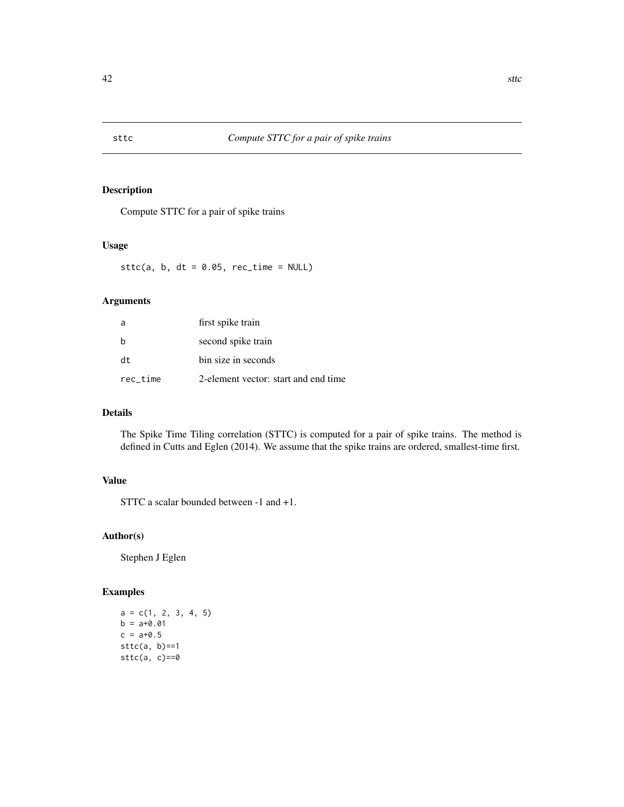<span id="page-41-0"></span>

Compute STTC for a pair of spike trains

### Usage

sttc(a,  $b$ , dt = 0.05, rec\_time = NULL)

### Arguments

| a        | first spike train                    |
|----------|--------------------------------------|
| b        | second spike train                   |
| dt       | bin size in seconds                  |
| rec time | 2-element vector: start and end time |

### Details

The Spike Time Tiling correlation (STTC) is computed for a pair of spike trains. The method is defined in Cutts and Eglen (2014). We assume that the spike trains are ordered, smallest-time first.

### Value

STTC a scalar bounded between -1 and +1.

### Author(s)

Stephen J Eglen

### Examples

 $a = c(1, 2, 3, 4, 5)$  $b = a + 0.01$  $c = a + 0.5$  $sttc(a, b) == 1$  $sttc(a, c) == 0$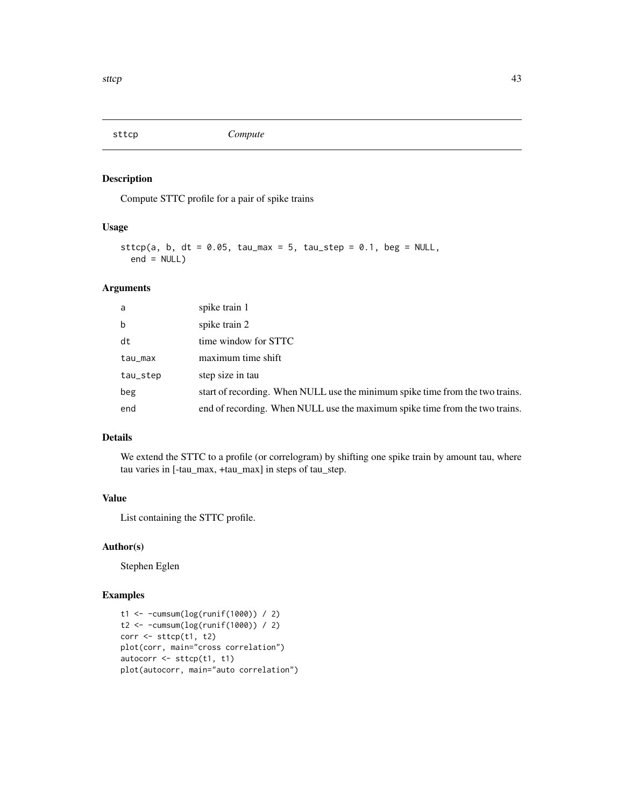<span id="page-42-0"></span>

Compute STTC profile for a pair of spike trains

### Usage

```
sttcp(a, b, dt = 0.05, tau_max = 5, tau_step = 0.1, beg = NULL,
 end = NULL)
```
### Arguments

| a        | spike train 1                                                                 |
|----------|-------------------------------------------------------------------------------|
| b        | spike train 2                                                                 |
| dt       | time window for STTC                                                          |
| tau_max  | maximum time shift                                                            |
| tau_step | step size in tau                                                              |
| beg      | start of recording. When NULL use the minimum spike time from the two trains. |
| end      | end of recording. When NULL use the maximum spike time from the two trains.   |

### Details

We extend the STTC to a profile (or correlogram) by shifting one spike train by amount tau, where tau varies in [-tau\_max, +tau\_max] in steps of tau\_step.

### Value

List containing the STTC profile.

### Author(s)

Stephen Eglen

### Examples

```
t1 <- -cumsum(log(runif(1000)) / 2)
t2 <- -cumsum(log(runif(1000)) / 2)
corr <- sttcp(t1, t2)
plot(corr, main="cross correlation")
autocorr <- sttcp(t1, t1)
plot(autocorr, main="auto correlation")
```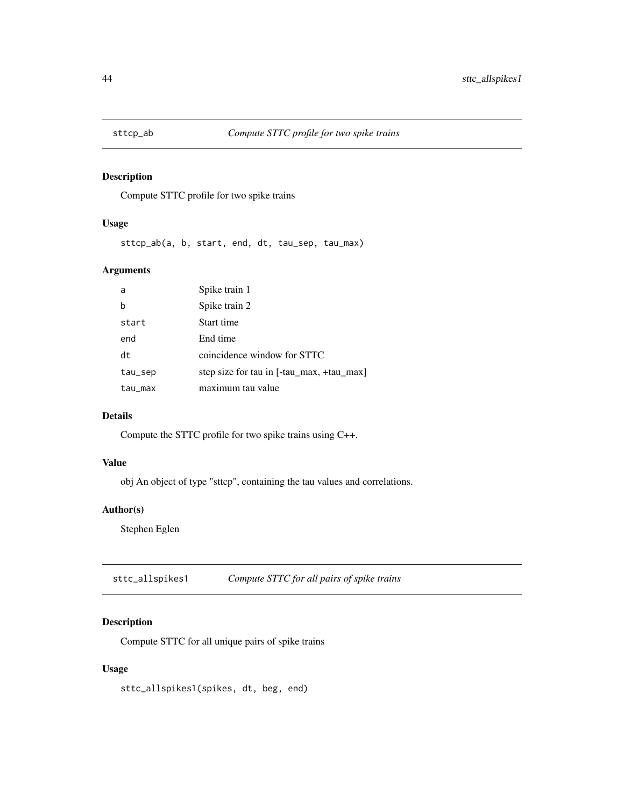<span id="page-43-0"></span>

Compute STTC profile for two spike trains

### Usage

sttcp\_ab(a, b, start, end, dt, tau\_sep, tau\_max)

### Arguments

| a       | Spike train 1                             |
|---------|-------------------------------------------|
| b       | Spike train 2                             |
| start   | Start time                                |
| end     | End time                                  |
| dt      | coincidence window for STTC               |
| tau_sep | step size for tau in [-tau_max, +tau_max] |
| tau_max | maximum tau value                         |

### Details

Compute the STTC profile for two spike trains using C++.

### Value

obj An object of type "sttcp", containing the tau values and correlations.

### Author(s)

Stephen Eglen

sttc\_allspikes1 *Compute STTC for all pairs of spike trains*

### Description

Compute STTC for all unique pairs of spike trains

#### Usage

sttc\_allspikes1(spikes, dt, beg, end)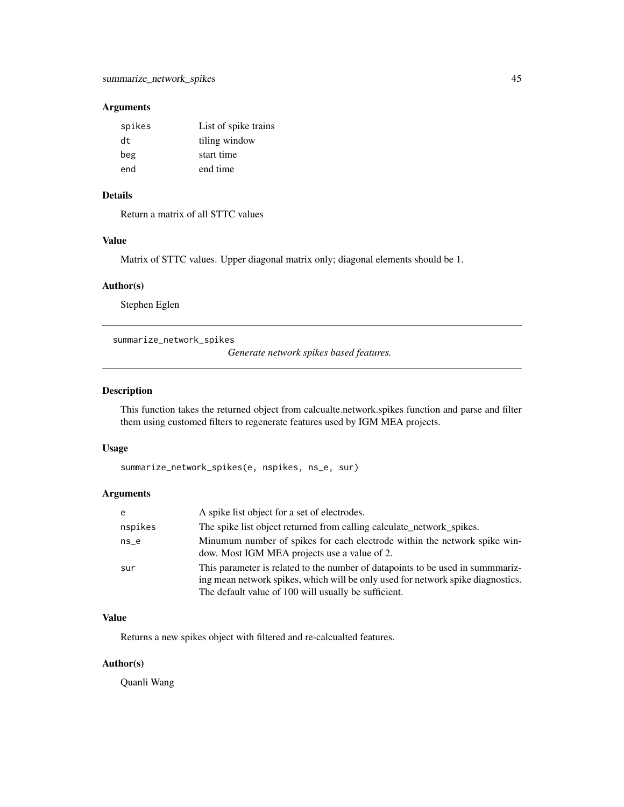### <span id="page-44-0"></span>Arguments

| spikes | List of spike trains |
|--------|----------------------|
| dt.    | tiling window        |
| beg    | start time           |
| end    | end time             |

### Details

Return a matrix of all STTC values

#### Value

Matrix of STTC values. Upper diagonal matrix only; diagonal elements should be 1.

### Author(s)

Stephen Eglen

summarize\_network\_spikes

*Generate network spikes based features.*

### Description

This function takes the returned object from calcualte.network.spikes function and parse and filter them using customed filters to regenerate features used by IGM MEA projects.

#### Usage

```
summarize_network_spikes(e, nspikes, ns_e, sur)
```
### Arguments

| e       | A spike list object for a set of electrodes.                                                                                                                                                                              |
|---------|---------------------------------------------------------------------------------------------------------------------------------------------------------------------------------------------------------------------------|
| nspikes | The spike list object returned from calling calculate_network_spikes.                                                                                                                                                     |
| $ns_e$  | Minumum number of spikes for each electrode within the network spike win-<br>dow. Most IGM MEA projects use a value of 2.                                                                                                 |
| sur     | This parameter is related to the number of datapoints to be used in summmariz-<br>ing mean network spikes, which will be only used for network spike diagnostics.<br>The default value of 100 will usually be sufficient. |

#### Value

Returns a new spikes object with filtered and re-calcualted features.

### Author(s)

Quanli Wang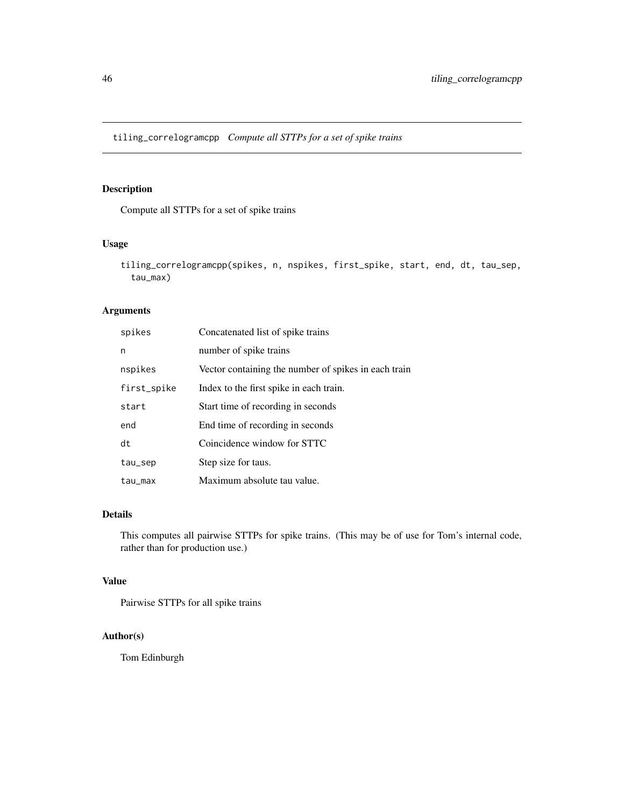<span id="page-45-0"></span>tiling\_correlogramcpp *Compute all STTPs for a set of spike trains*

### Description

Compute all STTPs for a set of spike trains

### Usage

```
tiling_correlogramcpp(spikes, n, nspikes, first_spike, start, end, dt, tau_sep,
  tau_max)
```
### Arguments

| spikes      | Concatenated list of spike trains                    |
|-------------|------------------------------------------------------|
| n           | number of spike trains                               |
| nspikes     | Vector containing the number of spikes in each train |
| first_spike | Index to the first spike in each train.              |
| start       | Start time of recording in seconds                   |
| end         | End time of recording in seconds                     |
| dt          | Coincidence window for STTC                          |
| tau_sep     | Step size for taus.                                  |
| tau_max     | Maximum absolute tau value.                          |

### Details

This computes all pairwise STTPs for spike trains. (This may be of use for Tom's internal code, rather than for production use.)

### Value

Pairwise STTPs for all spike trains

### Author(s)

Tom Edinburgh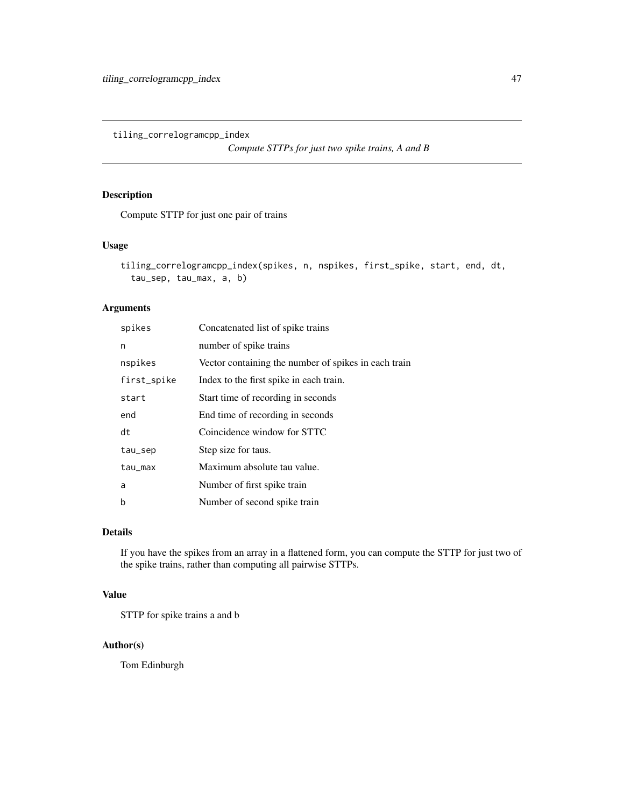<span id="page-46-0"></span>tiling\_correlogramcpp\_index

*Compute STTPs for just two spike trains, A and B*

### Description

Compute STTP for just one pair of trains

#### Usage

```
tiling_correlogramcpp_index(spikes, n, nspikes, first_spike, start, end, dt,
  tau_sep, tau_max, a, b)
```
### Arguments

| spikes      | Concatenated list of spike trains                    |
|-------------|------------------------------------------------------|
| n           | number of spike trains                               |
| nspikes     | Vector containing the number of spikes in each train |
| first_spike | Index to the first spike in each train.              |
| start       | Start time of recording in seconds                   |
| end         | End time of recording in seconds                     |
| dt          | Coincidence window for STTC                          |
| tau_sep     | Step size for taus.                                  |
| tau_max     | Maximum absolute tau value.                          |
| a           | Number of first spike train                          |
| b           | Number of second spike train                         |

#### Details

If you have the spikes from an array in a flattened form, you can compute the STTP for just two of the spike trains, rather than computing all pairwise STTPs.

#### Value

STTP for spike trains a and b

#### Author(s)

Tom Edinburgh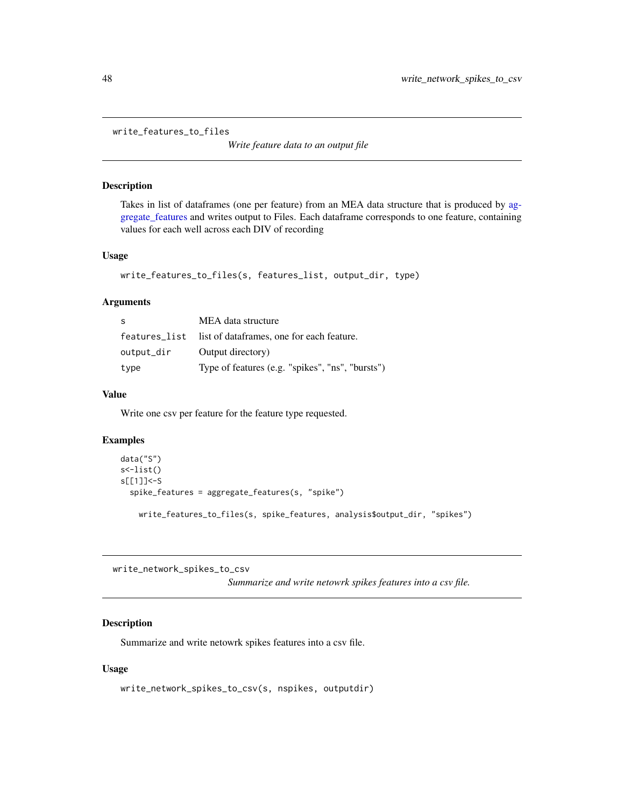<span id="page-47-0"></span>write\_features\_to\_files

*Write feature data to an output file*

### Description

Takes in list of dataframes (one per feature) from an MEA data structure that is produced by [ag](#page-3-1)[gregate\\_features](#page-3-1) and writes output to Files. Each dataframe corresponds to one feature, containing values for each well across each DIV of recording

#### Usage

```
write_features_to_files(s, features_list, output_dir, type)
```
### Arguments

| S          | MEA data structure                                      |
|------------|---------------------------------------------------------|
|            | features_list list of dataframes, one for each feature. |
| output_dir | Output directory)                                       |
| type       | Type of features (e.g. "spikes", "ns", "bursts")        |

### Value

Write one csv per feature for the feature type requested.

### Examples

```
data("S")
s<-list()
s[[1]]<-S
 spike_features = aggregate_features(s, "spike")
   write_features_to_files(s, spike_features, analysis$output_dir, "spikes")
```
write\_network\_spikes\_to\_csv

*Summarize and write netowrk spikes features into a csv file.*

#### Description

Summarize and write netowrk spikes features into a csv file.

#### Usage

```
write_network_spikes_to_csv(s, nspikes, outputdir)
```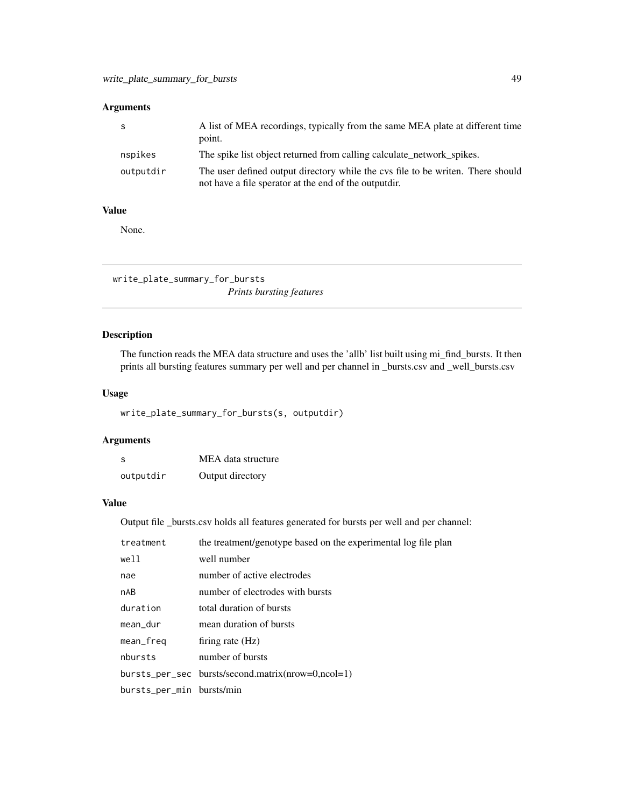### <span id="page-48-0"></span>Arguments

|           | A list of MEA recordings, typically from the same MEA plate at different time<br>point.                                                  |
|-----------|------------------------------------------------------------------------------------------------------------------------------------------|
| nspikes   | The spike list object returned from calling calculate network spikes.                                                                    |
| outputdir | The user defined output directory while the cys file to be writen. There should<br>not have a file sperator at the end of the outputdir. |

#### Value

None.

write\_plate\_summary\_for\_bursts

## *Prints bursting features*

### Description

The function reads the MEA data structure and uses the 'allb' list built using mi\_find\_bursts. It then prints all bursting features summary per well and per channel in \_bursts.csv and \_well\_bursts.csv

### Usage

write\_plate\_summary\_for\_bursts(s, outputdir)

### Arguments

| S         | MEA data structure |
|-----------|--------------------|
| outputdir | Output directory   |

#### Value

Output file \_bursts.csv holds all features generated for bursts per well and per channel:

| treatment                 | the treatment/genotype based on the experimental log file plan |
|---------------------------|----------------------------------------------------------------|
| well                      | well number                                                    |
| nae                       | number of active electrodes                                    |
| nAB                       | number of electrodes with bursts                               |
| duration                  | total duration of bursts                                       |
| mean_dur                  | mean duration of bursts                                        |
| mean_freq                 | firing rate $(Hz)$                                             |
| nbursts                   | number of bursts                                               |
|                           | bursts_per_sec bursts/second.matrix(nrow=0,ncol=1)             |
| bursts_per_min bursts/min |                                                                |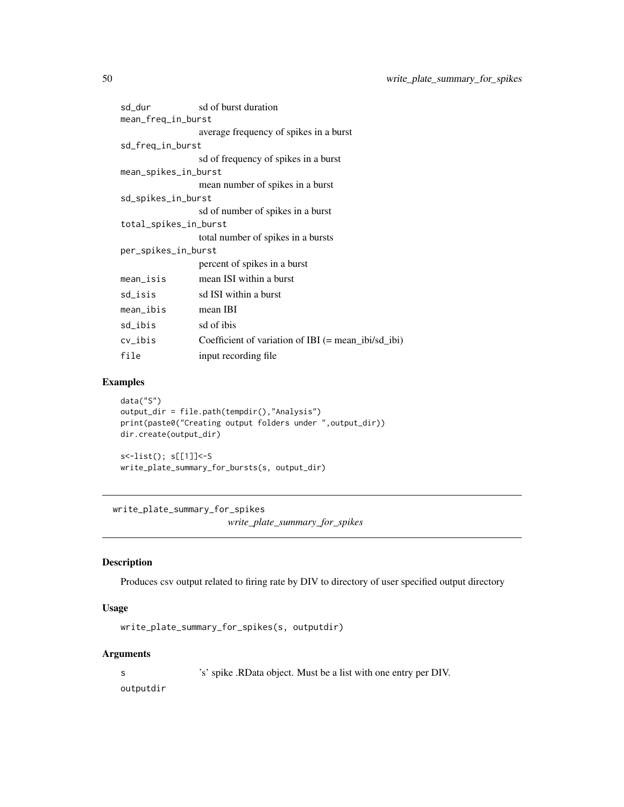<span id="page-49-0"></span>

| sd_dur                | sd of burst duration                                  |  |
|-----------------------|-------------------------------------------------------|--|
| mean_freq_in_burst    |                                                       |  |
|                       | average frequency of spikes in a burst                |  |
| sd_freq_in_burst      |                                                       |  |
|                       | sd of frequency of spikes in a burst                  |  |
| mean_spikes_in_burst  |                                                       |  |
|                       | mean number of spikes in a burst                      |  |
| sd_spikes_in_burst    |                                                       |  |
|                       | sd of number of spikes in a burst                     |  |
| total_spikes_in_burst |                                                       |  |
|                       | total number of spikes in a bursts                    |  |
| per_spikes_in_burst   |                                                       |  |
|                       | percent of spikes in a burst                          |  |
| mean_isis             | mean ISI within a burst                               |  |
| sd_isis               | sd ISI within a burst                                 |  |
| mean_ibis             | mean IBI                                              |  |
| sd_ibis               | sd of ibis                                            |  |
| cv_ibis               | Coefficient of variation of IBI $(= mean_ibi/sd_ibi)$ |  |
| file                  | input recording file                                  |  |

### Examples

```
data("S")
output_dir = file.path(tempdir(),"Analysis")
print(paste0("Creating output folders under ",output_dir))
dir.create(output_dir)
s<-list(); s[[1]]<-S
write_plate_summary_for_bursts(s, output_dir)
```
write\_plate\_summary\_for\_spikes

*write\_plate\_summary\_for\_spikes*

### Description

Produces csv output related to firing rate by DIV to directory of user specified output directory

### Usage

write\_plate\_summary\_for\_spikes(s, outputdir)

### Arguments

s 's' spike .RData object. Must be a list with one entry per DIV.

outputdir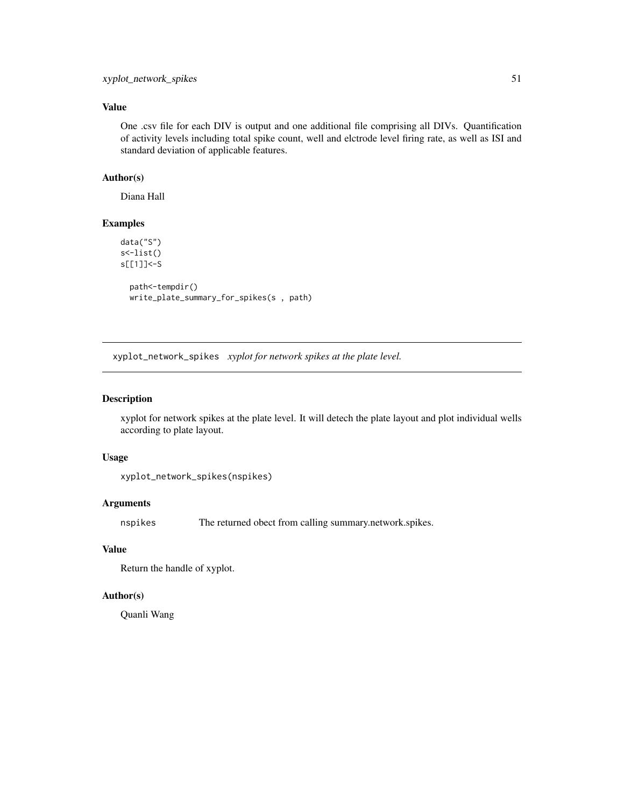### <span id="page-50-0"></span>Value

One .csv file for each DIV is output and one additional file comprising all DIVs. Quantification of activity levels including total spike count, well and elctrode level firing rate, as well as ISI and standard deviation of applicable features.

### Author(s)

Diana Hall

### Examples

```
data("S")
s<-list()
s[[1]]<-S
 path<-tempdir()
 write_plate_summary_for_spikes(s , path)
```
xyplot\_network\_spikes *xyplot for network spikes at the plate level.*

#### Description

xyplot for network spikes at the plate level. It will detech the plate layout and plot individual wells according to plate layout.

#### Usage

```
xyplot_network_spikes(nspikes)
```
### Arguments

nspikes The returned obect from calling summary.network.spikes.

### Value

Return the handle of xyplot.

#### Author(s)

Quanli Wang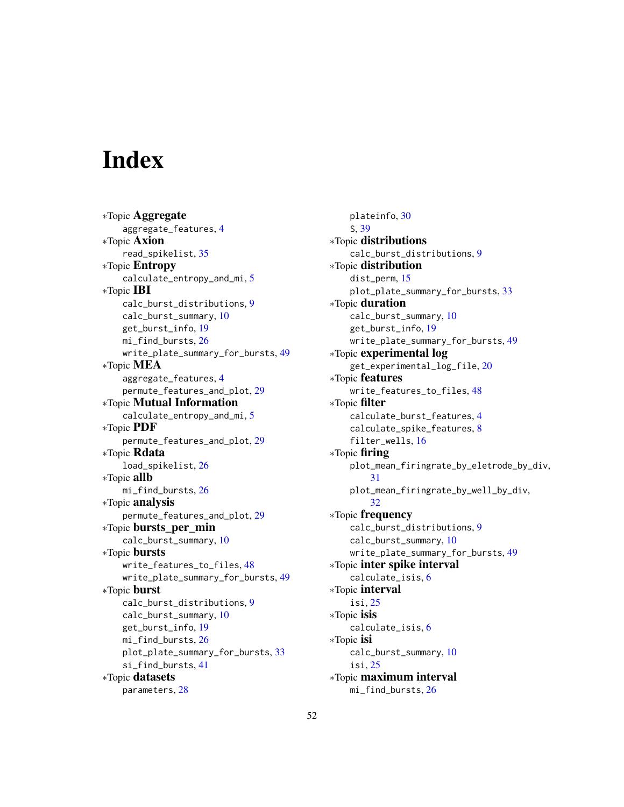# <span id="page-51-0"></span>**Index**

∗Topic Aggregate aggregate\_features, [4](#page-3-0) ∗Topic Axion read\_spikelist, [35](#page-34-0) ∗Topic Entropy calculate\_entropy\_and\_mi, [5](#page-4-0) ∗Topic IBI calc\_burst\_distributions, [9](#page-8-0) calc\_burst\_summary, [10](#page-9-0) get\_burst\_info, [19](#page-18-0) mi\_find\_bursts, [26](#page-25-0) write\_plate\_summary\_for\_bursts, [49](#page-48-0) ∗Topic MEA aggregate\_features, [4](#page-3-0) permute\_features\_and\_plot, [29](#page-28-0) ∗Topic Mutual Information calculate\_entropy\_and\_mi, [5](#page-4-0) ∗Topic PDF permute\_features\_and\_plot, [29](#page-28-0) ∗Topic Rdata load\_spikelist, [26](#page-25-0) ∗Topic allb mi\_find\_bursts, [26](#page-25-0) ∗Topic analysis permute\_features\_and\_plot, [29](#page-28-0) ∗Topic bursts\_per\_min calc\_burst\_summary, [10](#page-9-0) ∗Topic bursts write\_features\_to\_files, [48](#page-47-0) write\_plate\_summary\_for\_bursts, [49](#page-48-0) ∗Topic burst calc\_burst\_distributions, [9](#page-8-0) calc\_burst\_summary, [10](#page-9-0) get\_burst\_info, [19](#page-18-0) mi\_find\_bursts, [26](#page-25-0) plot\_plate\_summary\_for\_bursts, [33](#page-32-0) si\_find\_bursts, [41](#page-40-0) ∗Topic datasets parameters, [28](#page-27-0)

plateinfo, [30](#page-29-0) S, [39](#page-38-0) ∗Topic distributions calc\_burst\_distributions, [9](#page-8-0) ∗Topic distribution dist\_perm, [15](#page-14-0) plot\_plate\_summary\_for\_bursts, [33](#page-32-0) ∗Topic duration calc\_burst\_summary, [10](#page-9-0) get\_burst\_info, [19](#page-18-0) write\_plate\_summary\_for\_bursts, [49](#page-48-0) ∗Topic experimental log get\_experimental\_log\_file, [20](#page-19-0) ∗Topic features write\_features\_to\_files, [48](#page-47-0) ∗Topic filter calculate\_burst\_features, [4](#page-3-0) calculate\_spike\_features, [8](#page-7-0) filter\_wells, [16](#page-15-0) ∗Topic firing plot\_mean\_firingrate\_by\_eletrode\_by\_div, [31](#page-30-0) plot\_mean\_firingrate\_by\_well\_by\_div, [32](#page-31-0) ∗Topic frequency calc\_burst\_distributions, [9](#page-8-0) calc\_burst\_summary, [10](#page-9-0) write\_plate\_summary\_for\_bursts, [49](#page-48-0) ∗Topic inter spike interval calculate\_isis, [6](#page-5-0) ∗Topic interval isi, [25](#page-24-0) ∗Topic isis calculate\_isis, [6](#page-5-0) ∗Topic isi calc\_burst\_summary, [10](#page-9-0) isi, [25](#page-24-0) ∗Topic maximum interval mi\_find\_bursts, [26](#page-25-0)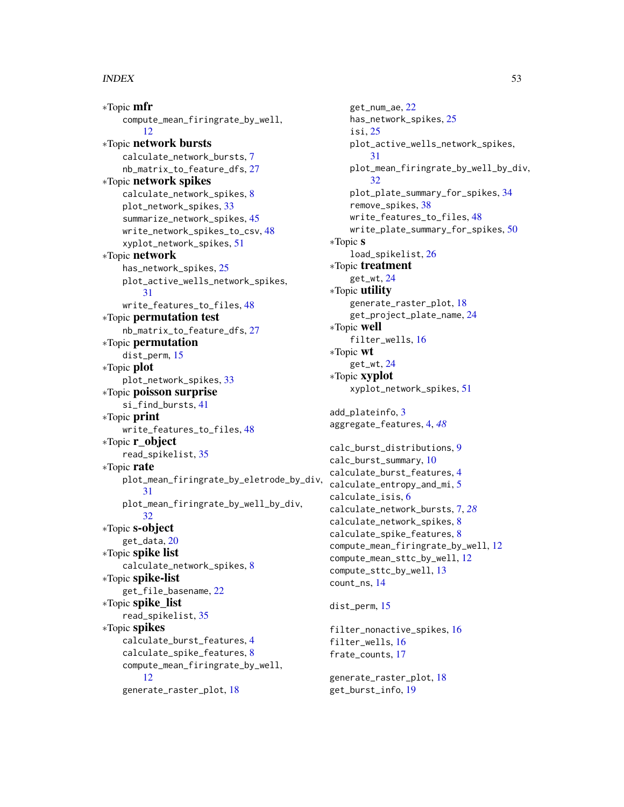#### $I<sub>N</sub>DEX$  53

∗Topic mfr compute\_mean\_firingrate\_by\_well, [12](#page-11-0) ∗Topic network bursts calculate\_network\_bursts, [7](#page-6-0) nb\_matrix\_to\_feature\_dfs, [27](#page-26-0) ∗Topic network spikes calculate\_network\_spikes, [8](#page-7-0) plot\_network\_spikes, [33](#page-32-0) summarize\_network\_spikes, [45](#page-44-0) write\_network\_spikes\_to\_csv, [48](#page-47-0) xyplot\_network\_spikes, [51](#page-50-0) ∗Topic network has\_network\_spikes, [25](#page-24-0) plot\_active\_wells\_network\_spikes, [31](#page-30-0) write\_features\_to\_files, [48](#page-47-0) ∗Topic permutation test nb\_matrix\_to\_feature\_dfs, [27](#page-26-0) ∗Topic permutation dist\_perm, [15](#page-14-0) ∗Topic plot plot\_network\_spikes, [33](#page-32-0) ∗Topic poisson surprise si\_find\_bursts, [41](#page-40-0) ∗Topic print write\_features\_to\_files, [48](#page-47-0) ∗Topic r\_object read\_spikelist, [35](#page-34-0) ∗Topic rate plot\_mean\_firingrate\_by\_eletrode\_by\_div, [31](#page-30-0) plot\_mean\_firingrate\_by\_well\_by\_div, [32](#page-31-0) ∗Topic s-object get\_data, [20](#page-19-0) ∗Topic spike list calculate\_network\_spikes, [8](#page-7-0) ∗Topic spike-list get\_file\_basename, [22](#page-21-0) ∗Topic spike\_list read\_spikelist, [35](#page-34-0) ∗Topic spikes calculate\_burst\_features, [4](#page-3-0) calculate\_spike\_features, [8](#page-7-0) compute\_mean\_firingrate\_by\_well, [12](#page-11-0) generate\_raster\_plot, [18](#page-17-0)

get\_num\_ae, [22](#page-21-0) has\_network\_spikes, [25](#page-24-0) isi, [25](#page-24-0) plot\_active\_wells\_network\_spikes, [31](#page-30-0) plot\_mean\_firingrate\_by\_well\_by\_div, [32](#page-31-0) plot\_plate\_summary\_for\_spikes, [34](#page-33-0) remove\_spikes, [38](#page-37-0) write\_features\_to\_files, [48](#page-47-0) write\_plate\_summary\_for\_spikes, [50](#page-49-0) ∗Topic s load\_spikelist, [26](#page-25-0) ∗Topic treatment get\_wt, [24](#page-23-0) ∗Topic utility generate\_raster\_plot, [18](#page-17-0) get\_project\_plate\_name, [24](#page-23-0) ∗Topic well filter\_wells, [16](#page-15-0) ∗Topic wt get\_wt, [24](#page-23-0) ∗Topic xyplot xyplot\_network\_spikes, [51](#page-50-0) add\_plateinfo, [3](#page-2-0) aggregate\_features, [4,](#page-3-0) *[48](#page-47-0)* calc\_burst\_distributions, [9](#page-8-0) calc\_burst\_summary, [10](#page-9-0) calculate\_burst\_features, [4](#page-3-0) calculate\_entropy\_and\_mi, [5](#page-4-0) calculate\_isis, [6](#page-5-0) calculate\_network\_bursts, [7,](#page-6-0) *[28](#page-27-0)* calculate\_network\_spikes, [8](#page-7-0) calculate\_spike\_features, [8](#page-7-0) compute\_mean\_firingrate\_by\_well, [12](#page-11-0) compute\_mean\_sttc\_by\_well, [12](#page-11-0) compute\_sttc\_by\_well, [13](#page-12-0) count\_ns, [14](#page-13-0) dist\_perm, [15](#page-14-0)

filter\_nonactive\_spikes, [16](#page-15-0) filter\_wells, [16](#page-15-0) frate\_counts, [17](#page-16-0)

generate\_raster\_plot, [18](#page-17-0) get\_burst\_info, [19](#page-18-0)